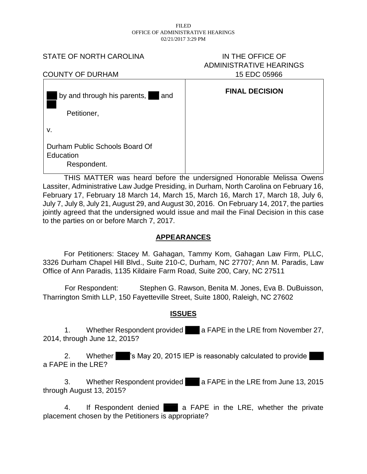#### FILED OFFICE OF ADMINISTRATIVE HEARINGS 02/21/2017 3:29 PM

| STATE OF NORTH CAROLINA                                       | IN THE OFFICE OF<br><b>ADMINISTRATIVE HEARINGS</b> |  |  |  |  |
|---------------------------------------------------------------|----------------------------------------------------|--|--|--|--|
| <b>COUNTY OF DURHAM</b>                                       | 15 EDC 05966                                       |  |  |  |  |
| by and through his parents, $\blacksquare$ and<br>Petitioner, | <b>FINAL DECISION</b>                              |  |  |  |  |
|                                                               |                                                    |  |  |  |  |
| V.                                                            |                                                    |  |  |  |  |
| Durham Public Schools Board Of<br>Education<br>Respondent.    |                                                    |  |  |  |  |

THIS MATTER was heard before the undersigned Honorable Melissa Owens Lassiter, Administrative Law Judge Presiding, in Durham, North Carolina on February 16, February 17, February 18 March 14, March 15, March 16, March 17, March 18, July 6, July 7, July 8, July 21, August 29, and August 30, 2016. On February 14, 2017, the parties jointly agreed that the undersigned would issue and mail the Final Decision in this case to the parties on or before March 7, 2017.

### **APPEARANCES**

For Petitioners: Stacey M. Gahagan, Tammy Kom, Gahagan Law Firm, PLLC, 3326 Durham Chapel Hill Blvd., Suite 210-C, Durham, NC 27707; Ann M. Paradis, Law Office of Ann Paradis, 1135 Kildaire Farm Road, Suite 200, Cary, NC 27511

For Respondent: Stephen G. Rawson, Benita M. Jones, Eva B. DuBuisson, Tharrington Smith LLP, 150 Fayetteville Street, Suite 1800, Raleigh, NC 27602

#### **ISSUES**

1. Whether Respondent provided a FAPE in the LRE from November 27, 2014, through June 12, 2015?

2. Whether 's May 20, 2015 IEP is reasonably calculated to provide a FAPE in the LRE?

3. Whether Respondent provided a FAPE in the LRE from June 13, 2015 through August 13, 2015?

4. If Respondent denied **a** FAPE in the LRE, whether the private placement chosen by the Petitioners is appropriate?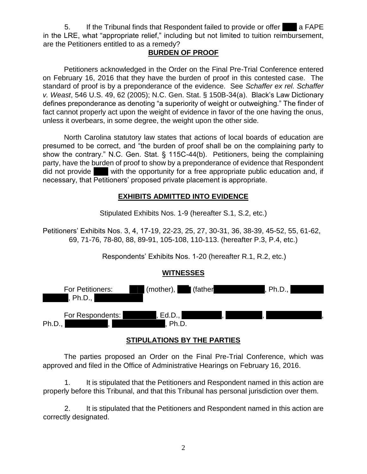5. If the Tribunal finds that Respondent failed to provide or offer a FAPE in the LRE, what "appropriate relief," including but not limited to tuition reimbursement, are the Petitioners entitled to as a remedy?

## **BURDEN OF PROOF**

Petitioners acknowledged in the Order on the Final Pre-Trial Conference entered on February 16, 2016 that they have the burden of proof in this contested case. The standard of proof is by a preponderance of the evidence. See *Schaffer ex rel. Schaffer v. Weast*, 546 U.S. 49, 62 (2005); N.C. Gen. Stat. § 150B-34(a). Black's Law Dictionary defines preponderance as denoting "a superiority of weight or outweighing." The finder of fact cannot properly act upon the weight of evidence in favor of the one having the onus, unless it overbears, in some degree, the weight upon the other side.

North Carolina statutory law states that actions of local boards of education are presumed to be correct, and "the burden of proof shall be on the complaining party to show the contrary." N.C. Gen. Stat. § 115C-44(b). Petitioners, being the complaining party, have the burden of proof to show by a preponderance of evidence that Respondent did not provide with the opportunity for a free appropriate public education and, if necessary, that Petitioners' proposed private placement is appropriate.

## **EXHIBITS ADMITTED INTO EVIDENCE**

Stipulated Exhibits Nos. 1-9 (hereafter S.1, S.2, etc.)

Petitioners' Exhibits Nos. 3, 4, 17-19, 22-23, 25, 27, 30-31, 36, 38-39, 45-52, 55, 61-62, 69, 71-76, 78-80, 88, 89-91, 105-108, 110-113. (hereafter P.3, P.4, etc.)

Respondents' Exhibits Nos. 1-20 (hereafter R.1, R.2, etc.)

## **WITNESSES**



## **STIPULATIONS BY THE PARTIES**

The parties proposed an Order on the Final Pre-Trial Conference, which was approved and filed in the Office of Administrative Hearings on February 16, 2016.

1. It is stipulated that the Petitioners and Respondent named in this action are properly before this Tribunal, and that this Tribunal has personal jurisdiction over them.

2. It is stipulated that the Petitioners and Respondent named in this action are correctly designated.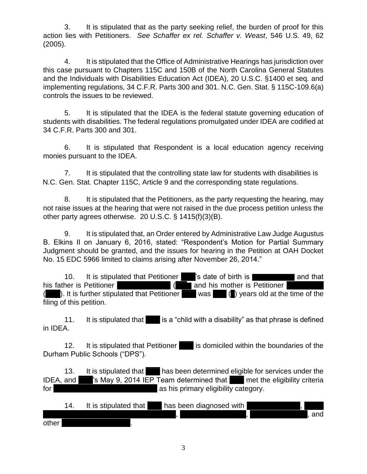3. It is stipulated that as the party seeking relief, the burden of proof for this action lies with Petitioners. *See Schaffer ex rel. Schaffer v. Weast*, 546 U.S. 49, 62 (2005).

4. It is stipulated that the Office of Administrative Hearings has jurisdiction over this case pursuant to Chapters 115C and 150B of the North Carolina General Statutes and the Individuals with Disabilities Education Act (IDEA), 20 U.S.C. §1400 et seq. and implementing regulations, 34 C.F.R. Parts 300 and 301. N.C. Gen. Stat. § 115C-109.6(a) controls the issues to be reviewed.

5. It is stipulated that the IDEA is the federal statute governing education of students with disabilities. The federal regulations promulgated under IDEA are codified at 34 C.F.R. Parts 300 and 301.

6. It is stipulated that Respondent is a local education agency receiving monies pursuant to the IDEA.

7. It is stipulated that the controlling state law for students with disabilities is N.C. Gen. Stat. Chapter 115C, Article 9 and the corresponding state regulations.

8. It is stipulated that the Petitioners, as the party requesting the hearing, may not raise issues at the hearing that were not raised in the due process petition unless the other party agrees otherwise. 20 U.S.C. § 1415(f)(3)(B).

9. It is stipulated that, an Order entered by Administrative Law Judge Augustus B. Elkins II on January 6, 2016, stated: "Respondent's Motion for Partial Summary Judgment should be granted, and the issues for hearing in the Petition at OAH Docket No. 15 EDC 5966 limited to claims arising after November 26, 2014."

10. It is stipulated that Petitioner <sup>'</sup> is date of birth is **the same of that** his father is Petitioner **Petitioner Petitioner Petitioner Petitioner** Minh Phamm Phamm Phamm Phamm Phamm Phamm Phamm Phamm Phamm Phamm Phamm Phamm Phamm Phamm Phamm Phamm Phamm Phamm Phamm Phamm Phamm Phamm Phamm P ). It is further stipulated that Petitioner was  $\blacksquare$  ( $\blacksquare$ ) years old at the time of the filing of this petition.

11. It is stipulated that is a "child with a disability" as that phrase is defined in IDEA.

12. It is stipulated that Petitioner is domiciled within the boundaries of the Durham Public Schools ("DPS").

13. It is stipulated that has been determined eligible for services under the IDEA, and  $\blacksquare$  's May 9, 2014 IEP Team determined that  $\blacksquare$  met the eligibility criteria for Intellectual 2011 – Moderate as his primary eligibility category.

|       | It is stipulated that |  | has been diagnosed with |  |     |
|-------|-----------------------|--|-------------------------|--|-----|
|       |                       |  |                         |  | and |
| other |                       |  |                         |  |     |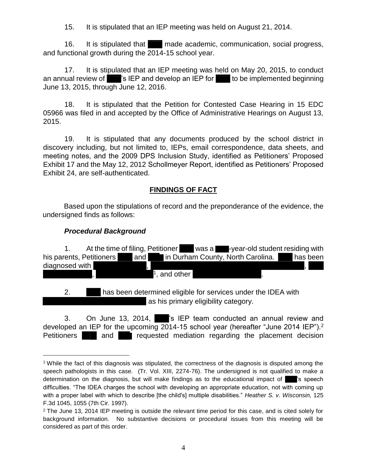15. It is stipulated that an IEP meeting was held on August 21, 2014.

16. It is stipulated that made academic, communication, social progress, and functional growth during the 2014-15 school year.

17. It is stipulated that an IEP meeting was held on May 20, 2015, to conduct an annual review of  $\blacksquare$  's IEP and develop an IEP for  $\blacksquare$  to be implemented beginning June 13, 2015, through June 12, 2016.

18. It is stipulated that the Petition for Contested Case Hearing in 15 EDC 05966 was filed in and accepted by the Office of Administrative Hearings on August 13, 2015.

19. It is stipulated that any documents produced by the school district in discovery including, but not limited to, IEPs, email correspondence, data sheets, and meeting notes, and the 2009 DPS Inclusion Study, identified as Petitioners' Proposed Exhibit 17 and the May 12, 2012 Schollmeyer Report, identified as Petitioners' Proposed Exhibit 24, are self-authenticated.

## **FINDINGS OF FACT**

Based upon the stipulations of record and the preponderance of the evidence, the undersigned finds as follows:

## *Procedural Background*

 $\overline{a}$ 

|                          | At the time of filing, Petitioner |     |           | was a serve year-old student residing with |          |
|--------------------------|-----------------------------------|-----|-----------|--------------------------------------------|----------|
| his parents, Petitioners |                                   | and |           | in Durham County, North Carolina.          | has been |
| diagnosed with           |                                   |     |           |                                            |          |
|                          |                                   |     | and other |                                            |          |

2. has been determined eligible for services under the IDEA with as his primary eligibility category.

3. On June 13, 2014, <sup>1</sup> is IEP team conducted an annual review and developed an IEP for the upcoming 2014-15 school year (hereafter "June 2014 IEP").<sup>2</sup> Petitioners and **Producted** requested mediation regarding the placement decision

<sup>1</sup> While the fact of this diagnosis was stipulated, the correctness of the diagnosis is disputed among the speech pathologists in this case. (Tr. Vol. XIII, 2274-76). The undersigned is not qualified to make a determination on the diagnosis, but will make findings as to the educational impact of  $\blacksquare$ 's speech difficulties. "The IDEA charges the school with developing an appropriate education, not with coming up with a proper label with which to describe [the child's] multiple disabilities." *Heather S. v. Wisconsin,* 125 F.3d 1045, 1055 (7th Cir. 1997).

<sup>2</sup> The June 13, 2014 IEP meeting is outside the relevant time period for this case, and is cited solely for background information. No substantive decisions or procedural issues from this meeting will be considered as part of this order.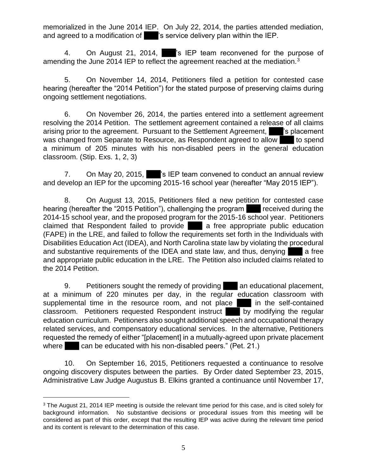memorialized in the June 2014 IEP. On July 22, 2014, the parties attended mediation, and agreed to a modification of  $\vert$  is service delivery plan within the IEP.

4. On August 21, 2014, <sup>2</sup> is IEP team reconvened for the purpose of amending the June 2014 IEP to reflect the agreement reached at the mediation.<sup>3</sup>

5. On November 14, 2014, Petitioners filed a petition for contested case hearing (hereafter the "2014 Petition") for the stated purpose of preserving claims during ongoing settlement negotiations.

6. On November 26, 2014, the parties entered into a settlement agreement resolving the 2014 Petition. The settlement agreement contained a release of all claims arising prior to the agreement. Pursuant to the Settlement Agreement, strainglement was changed from Separate to Resource, as Respondent agreed to allow to spend a minimum of 205 minutes with his non-disabled peers in the general education classroom. (Stip. Exs. 1, 2, 3)

7. On May 20, 2015,  $\blacksquare$  's IEP team convened to conduct an annual review and develop an IEP for the upcoming 2015-16 school year (hereafter "May 2015 IEP").

8. On August 13, 2015, Petitioners filed a new petition for contested case hearing (hereafter the "2015 Petition"), challenging the program received during the 2014-15 school year, and the proposed program for the 2015-16 school year. Petitioners claimed that Respondent failed to provide a free appropriate public education (FAPE) in the LRE, and failed to follow the requirements set forth in the Individuals with Disabilities Education Act (IDEA), and North Carolina state law by violating the procedural and substantive requirements of the IDEA and state law, and thus, denying a free and appropriate public education in the LRE. The Petition also included claims related to the 2014 Petition.

9. Petitioners sought the remedy of providing an educational placement, at a minimum of 220 minutes per day, in the regular education classroom with supplemental time in the resource room, and not place in the self-contained classroom. Petitioners requested Respondent instruct by modifying the regular education curriculum. Petitioners also sought additional speech and occupational therapy related services, and compensatory educational services. In the alternative, Petitioners requested the remedy of either "[placement] in a mutually-agreed upon private placement where can be educated with his non-disabled peers." (Pet. 21.)

10. On September 16, 2015, Petitioners requested a continuance to resolve ongoing discovery disputes between the parties. By Order dated September 23, 2015, Administrative Law Judge Augustus B. Elkins granted a continuance until November 17,

 $\overline{a}$ 

<sup>3</sup> The August 21, 2014 IEP meeting is outside the relevant time period for this case, and is cited solely for background information. No substantive decisions or procedural issues from this meeting will be considered as part of this order, except that the resulting IEP was active during the relevant time period and its content is relevant to the determination of this case.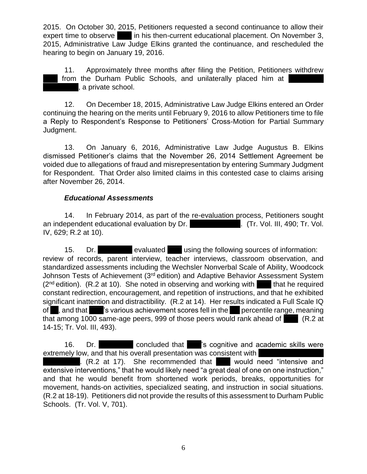2015. On October 30, 2015, Petitioners requested a second continuance to allow their expert time to observe in his then-current educational placement. On November 3, 2015, Administrative Law Judge Elkins granted the continuance, and rescheduled the hearing to begin on January 19, 2016.

11. Approximately three months after filing the Petition, Petitioners withdrew from the Durham Public Schools, and unilaterally placed him at , a private school.

12. On December 18, 2015, Administrative Law Judge Elkins entered an Order continuing the hearing on the merits until February 9, 2016 to allow Petitioners time to file a Reply to Respondent's Response to Petitioners' Cross-Motion for Partial Summary Judgment.

13. On January 6, 2016, Administrative Law Judge Augustus B. Elkins dismissed Petitioner's claims that the November 26, 2014 Settlement Agreement be voided due to allegations of fraud and misrepresentation by entering Summary Judgment for Respondent. That Order also limited claims in this contested case to claims arising after November 26, 2014.

## *Educational Assessments*

14. In February 2014, as part of the re-evaluation process, Petitioners sought an independent educational evaluation by Dr. **April Harris-Britt. (Tr. Vol. III, 490; Tr. Vol.** IV, 629; R.2 at 10).

15. Dr. evaluated using the following sources of information: review of records, parent interview, teacher interviews, classroom observation, and standardized assessments including the Wechsler Nonverbal Scale of Ability, Woodcock Johnson Tests of Achievement (3<sup>rd</sup> edition) and Adaptive Behavior Assessment System  $(2<sup>nd</sup> edition).$  (R.2 at 10). She noted in observing and working with that he required constant redirection, encouragement, and repetition of instructions, and that he exhibited significant inattention and distractibility. (R.2 at 14). Her results indicated a Full Scale IQ of  $\blacksquare$ , and that  $\blacksquare$  's various achievement scores fell in the  $\blacksquare$  percentile range, meaning that among 1000 same-age peers, 999 of those peers would rank ahead of  $\Box$  (R.2 at 14-15; Tr. Vol. III, 493).

16. Dr. Concluded that <sup>'s</sup> cognitive and academic skills were extremely low, and that his overall presentation was consistent with

 $\blacksquare$  (R.2 at 17). She recommended that would need "intensive and extensive interventions," that he would likely need "a great deal of one on one instruction," and that he would benefit from shortened work periods, breaks, opportunities for movement, hands-on activities, specialized seating, and instruction in social situations. (R.2 at 18-19). Petitioners did not provide the results of this assessment to Durham Public Schools. (Tr. Vol. V, 701).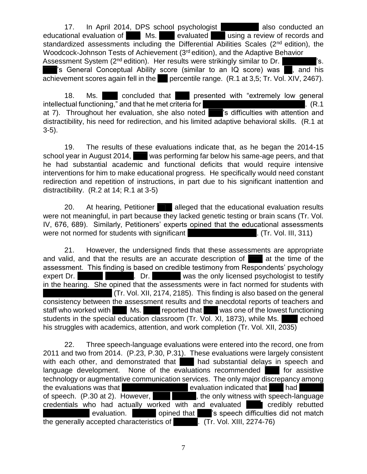17. In April 2014, DPS school psychologist also conducted an educational evaluation of Ms. Ms. A evaluated using a review of records and standardized assessments including the Differential Abilities Scales (2<sup>nd</sup> edition), the Woodcock-Johnson Tests of Achievement (3rd edition), and the Adaptive Behavior Assessment System  $(2^{nd}$  edition). Her results were strikingly similar to Dr.  $\blacksquare$   $\blacksquare$  's. 's General Conceptual Ability score (similar to an IQ score) was 4, and his achievement scores again fell in the  $\blacksquare$  percentile range. (R.1 at 3,5; Tr. Vol. XIV, 2467).

18. Ms. concluded that presented with "extremely low general intellectual functioning," and that he met criteria for Intellectual Disability – Moderate. (R.1) at 7). Throughout her evaluation, she also noted sail is difficulties with attention and distractibility, his need for redirection, and his limited adaptive behavioral skills. (R.1 at 3-5).

19. The results of these evaluations indicate that, as he began the 2014-15 school year in August 2014, was performing far below his same-age peers, and that he had substantial academic and functional deficits that would require intensive interventions for him to make educational progress. He specifically would need constant redirection and repetition of instructions, in part due to his significant inattention and distractibility. (R.2 at 14; R.1 at 3-5)

20. At hearing, Petitioner alleged that the educational evaluation results were not meaningful, in part because they lacked genetic testing or brain scans (Tr. Vol. IV, 676, 689). Similarly, Petitioners' experts opined that the educational assessments were not normed for students with significant intellectual disabilities. (Tr. Vol. III, 311)

21. However, the undersigned finds that these assessments are appropriate and valid, and that the results are an accurate description of  $\Box$  at the time of the assessment. This finding is based on credible testimony from Respondents' psychology expert Dr. **In the Hiermifer Hiemen Liennifer Hiemen** was the only licensed psychologist to testify in the hearing. She opined that the assessments were in fact normed for students with If Tr. Vol. XII, 2174, 2185). This finding is also based on the general consistency between the assessment results and the anecdotal reports of teachers and staff who worked with Ms. Bunn reported that was one of the lowest functioning students in the special education classroom (Tr. Vol. XI, 1873), while Ms. **Allen echoed** his struggles with academics, attention, and work completion (Tr. Vol. XII, 2035)

22. Three speech-language evaluations were entered into the record, one from 2011 and two from 2014. (P.23, P.30, P.31). These evaluations were largely consistent with each other, and demonstrated that had substantial delays in speech and language development. None of the evaluations recommended for assistive technology or augmentative communication services. The only major discrepancy among the evaluations was that Tonja Recktenwald's evaluation indicated that had Apraxia **of speech. (P.30 at 200 at 200 at 200 at 200 at 200 at 200 at 200 at 200 at 200 at 200 at 200 at 200 at 200 at 200 at 200 at 200 at 200 at 200 at 200 at 200 at 200 at 200 at 200 at 200 at 200 at 200 at 200 at 200 at 200 a** credentials who had actually worked with and evaluated credibly rebutted evaluation. opined that 's speech difficulties did not match the generally accepted characteristics of  $\blacksquare$ . (Tr. Vol. XIII, 2274-76)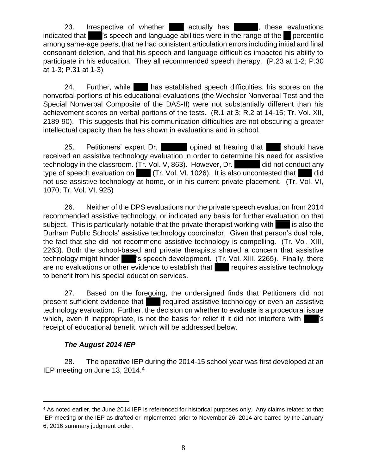23. Irrespective of whether actually has these evaluations indicated that  $\blacksquare$  's speech and language abilities were in the range of the  $\blacksquare$  percentile among same-age peers, that he had consistent articulation errors including initial and final consonant deletion, and that his speech and language difficulties impacted his ability to participate in his education. They all recommended speech therapy. (P.23 at 1-2; P.30 at 1-3; P.31 at 1-3)

24. Further, while has established speech difficulties, his scores on the nonverbal portions of his educational evaluations (the Wechsler Nonverbal Test and the Special Nonverbal Composite of the DAS-II) were not substantially different than his achievement scores on verbal portions of the tests. (R.1 at 3; R.2 at 14-15; Tr. Vol. XII, 2189-90). This suggests that his communication difficulties are not obscuring a greater intellectual capacity than he has shown in evaluations and in school.

25. Petitioners' expert Dr. opined at hearing that should have received an assistive technology evaluation in order to determine his need for assistive technology in the classroom. (Tr. Vol. V, 863). However, Dr. did not conduct any type of speech evaluation on  $\blacksquare$  (Tr. Vol. VI, 1026). It is also uncontested that did not use assistive technology at home, or in his current private placement. (Tr. Vol. VI, 1070; Tr. Vol. VI, 925)

26. Neither of the DPS evaluations nor the private speech evaluation from 2014 recommended assistive technology, or indicated any basis for further evaluation on that subject. This is particularly notable that the private therapist working with is also the Durham Public Schools' assistive technology coordinator. Given that person's dual role, the fact that she did not recommend assistive technology is compelling. (Tr. Vol. XIII, 2263). Both the school-based and private therapists shared a concern that assistive technology might hinder **in the state of speech development.** (Tr. Vol. XIII, 2265). Finally, there are no evaluations or other evidence to establish that requires assistive technology to benefit from his special education services.

27. Based on the foregoing, the undersigned finds that Petitioners did not present sufficient evidence that required assistive technology or even an assistive technology evaluation. Further, the decision on whether to evaluate is a procedural issue which, even if inappropriate, is not the basis for relief if it did not interfere with  $\sim$  's receipt of educational benefit, which will be addressed below.

## *The August 2014 IEP*

 $\overline{a}$ 

28. The operative IEP during the 2014-15 school year was first developed at an IEP meeting on June 13, 2014.<sup>4</sup>

<sup>4</sup> As noted earlier, the June 2014 IEP is referenced for historical purposes only. Any claims related to that IEP meeting or the IEP as drafted or implemented prior to November 26, 2014 are barred by the January 6, 2016 summary judgment order.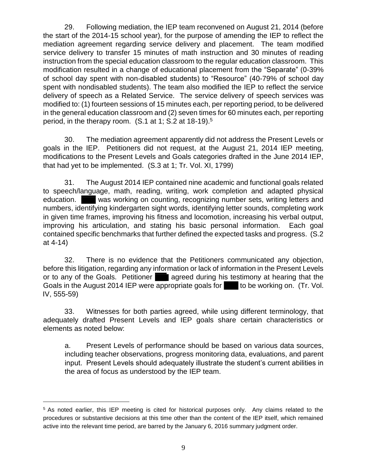29. Following mediation, the IEP team reconvened on August 21, 2014 (before the start of the 2014-15 school year), for the purpose of amending the IEP to reflect the mediation agreement regarding service delivery and placement. The team modified service delivery to transfer 15 minutes of math instruction and 30 minutes of reading instruction from the special education classroom to the regular education classroom. This modification resulted in a change of educational placement from the "Separate" (0-39% of school day spent with non-disabled students) to "Resource" (40-79% of school day spent with nondisabled students). The team also modified the IEP to reflect the service delivery of speech as a Related Service. The service delivery of speech services was modified to: (1) fourteen sessions of 15 minutes each, per reporting period, to be delivered in the general education classroom and (2) seven times for 60 minutes each, per reporting period, in the therapy room.  $(S.1$  at 1; S.2 at 18-19).<sup>5</sup>

30. The mediation agreement apparently did not address the Present Levels or goals in the IEP. Petitioners did not request, at the August 21, 2014 IEP meeting, modifications to the Present Levels and Goals categories drafted in the June 2014 IEP, that had yet to be implemented. (S.3 at 1; Tr. Vol. XI, 1799)

31. The August 2014 IEP contained nine academic and functional goals related to speech/language, math, reading, writing, work completion and adapted physical education. was working on counting, recognizing number sets, writing letters and numbers, identifying kindergarten sight words, identifying letter sounds, completing work in given time frames, improving his fitness and locomotion, increasing his verbal output, improving his articulation, and stating his basic personal information. Each goal contained specific benchmarks that further defined the expected tasks and progress. (S.2 at 4-14)

32. There is no evidence that the Petitioners communicated any objection, before this litigation, regarding any information or lack of information in the Present Levels or to any of the Goals. Petitioner  $\Box$  agreed during his testimony at hearing that the Goals in the August 2014 IEP were appropriate goals for the beauding on. (Tr. Vol. IV, 555-59)

33. Witnesses for both parties agreed, while using different terminology, that adequately drafted Present Levels and IEP goals share certain characteristics or elements as noted below:

a. Present Levels of performance should be based on various data sources, including teacher observations, progress monitoring data, evaluations, and parent input. Present Levels should adequately illustrate the student's current abilities in the area of focus as understood by the IEP team.

 $\overline{a}$ 

<sup>5</sup> As noted earlier, this IEP meeting is cited for historical purposes only. Any claims related to the procedures or substantive decisions at this time other than the content of the IEP itself, which remained active into the relevant time period, are barred by the January 6, 2016 summary judgment order.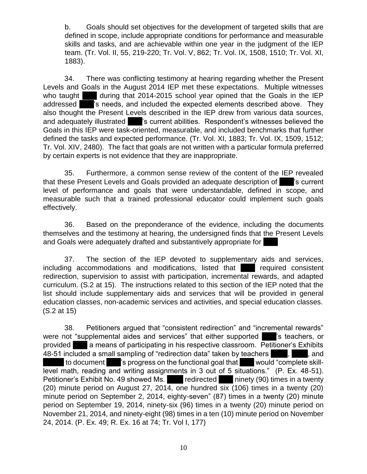b. Goals should set objectives for the development of targeted skills that are defined in scope, include appropriate conditions for performance and measurable skills and tasks, and are achievable within one year in the judgment of the IEP team. (Tr. Vol. II, 55, 219-220; Tr. Vol. V, 862; Tr. Vol. IX, 1508, 1510; Tr. Vol. XI, 1883).

34. There was conflicting testimony at hearing regarding whether the Present Levels and Goals in the August 2014 IEP met these expectations. Multiple witnesses who taught during that 2014-2015 school year opined that the Goals in the IEP addressed signified is needs, and included the expected elements described above. They also thought the Present Levels described in the IEP drew from various data sources, and adequately illustrated <sup>2</sup> is current abilities. Respondent's witnesses believed the Goals in this IEP were task-oriented, measurable, and included benchmarks that further defined the tasks and expected performance. (Tr. Vol. XI, 1883; Tr. Vol. IX, 1509, 1512; Tr. Vol. XIV, 2480). The fact that goals are not written with a particular formula preferred by certain experts is not evidence that they are inappropriate.

35. Furthermore, a common sense review of the content of the IEP revealed that these Present Levels and Goals provided an adequate description of  $\blacksquare$  's current level of performance and goals that were understandable, defined in scope, and measurable such that a trained professional educator could implement such goals effectively.

36. Based on the preponderance of the evidence, including the documents themselves and the testimony at hearing, the undersigned finds that the Present Levels and Goals were adequately drafted and substantively appropriate for

37. The section of the IEP devoted to supplementary aids and services, including accommodations and modifications, listed that **required consistent** redirection, supervision to assist with participation, incremental rewards, and adapted curriculum. (S.2 at 15). The instructions related to this section of the IEP noted that the list should include supplementary aids and services that will be provided in general education classes, non-academic services and activities, and special education classes. (S.2 at 15)

38. Petitioners argued that "consistent redirection" and "incremental rewards" were not "supplemental aides and services" that either supported state is teachers, or provided a means of participating in his respective classroom. Petitioner's Exhibits 48-51 included a small sampling of "redirection data" taken by teachers [10, p. cand, and to document 's progress on the functional goal that would "complete skilllevel math, reading and writing assignments in 3 out of 5 situations." (P. Ex. 48-51). Petitioner's Exhibit No. 49 showed Ms. **All redirected initial redirection** rinety (90) times in a twenty (20) minute period on August 27, 2014, one hundred six (106) times in a twenty (20) minute period on September 2, 2014, eighty-seven" (87) times in a twenty (20) minute period on September 19, 2014, ninety-six (96) times in a twenty (20) minute period on November 21, 2014, and ninety-eight (98) times in a ten (10) minute period on November 24, 2014. (P. Ex. 49; R. Ex. 16 at 74; Tr. Vol I, 177)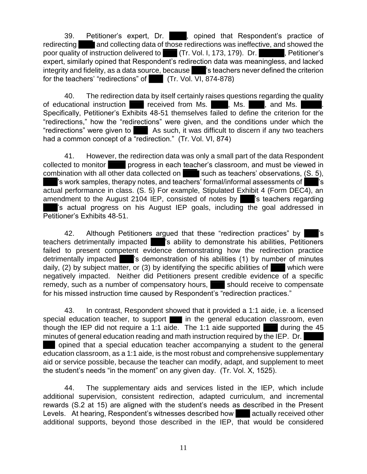39. Petitioner's expert, Dr. | , opined that Respondent's practice of redirecting and collecting data of those redirections was ineffective, and showed the poor quality of instruction delivered to (Tr. Vol. I, 173, 179). Dr. Petitioner's expert, similarly opined that Respondent's redirection data was meaningless, and lacked integrity and fidelity, as a data source, because  $\blacksquare$  's teachers never defined the criterion for the teachers' "redirections" of (Tr. Vol. VI, 874-878)

40. The redirection data by itself certainly raises questions regarding the quality of educational instruction received from Ms. Junn, Ms. Haase. Allen, and Ms. Specifically, Petitioner's Exhibits 48-51 themselves failed to define the criterion for the "redirections," how the "redirections" were given, and the conditions under which the "redirections" were given to As such, it was difficult to discern if any two teachers had a common concept of a "redirection." (Tr. Vol. VI, 874)

41. However, the redirection data was only a small part of the data Respondent collected to monitor progress in each teacher's classroom, and must be viewed in combination with all other data collected on such as teachers' observations,  $(S, 5)$ , 's work samples, therapy notes, and teachers' formal/informal assessments of  $\blacksquare$ 's actual performance in class. (S. 5) For example, Stipulated Exhibit 4 (Form DEC4), an amendment to the August 2104 IEP, consisted of notes by steachers regarding 's actual progress on his August IEP goals, including the goal addressed in Petitioner's Exhibits 48-51.

42. Although Petitioners argued that these "redirection practices" by vising teachers detrimentally impacted 's ability to demonstrate his abilities, Petitioners failed to present competent evidence demonstrating how the redirection practice detrimentally impacted <sup>'</sup> is demonstration of his abilities (1) by number of minutes daily, (2) by subject matter, or (3) by identifying the specific abilities of which were negatively impacted. Neither did Petitioners present credible evidence of a specific remedy, such as a number of compensatory hours, should receive to compensate for his missed instruction time caused by Respondent's "redirection practices."

43. In contrast, Respondent showed that it provided a 1:1 aide, i.e. a licensed special education teacher, to support  $\Box$  in the general education classroom, even though the IEP did not require a 1:1 aide. The 1:1 aide supported during the 45 minutes of general education reading and math instruction required by the IEP. Dr. opined that a special education teacher accompanying a student to the general education classroom, as a 1:1 aide, is the most robust and comprehensive supplementary aid or service possible, because the teacher can modify, adapt, and supplement to meet the student's needs "in the moment" on any given day. (Tr. Vol. X, 1525).

44. The supplementary aids and services listed in the IEP, which include additional supervision, consistent redirection, adapted curriculum, and incremental rewards (S.2 at 15) are aligned with the student's needs as described in the Present Levels. At hearing, Respondent's witnesses described how actually received other additional supports, beyond those described in the IEP, that would be considered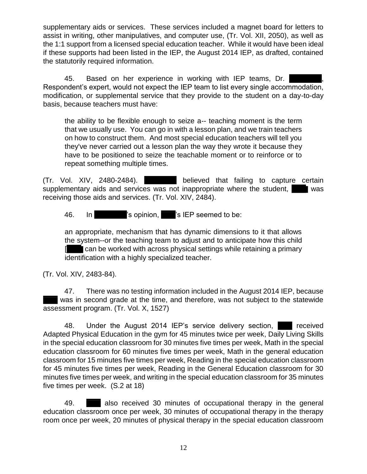supplementary aids or services. These services included a magnet board for letters to assist in writing, other manipulatives, and computer use, (Tr. Vol. XII, 2050), as well as the 1:1 support from a licensed special education teacher. While it would have been ideal if these supports had been listed in the IEP, the August 2014 IEP, as drafted, contained the statutorily required information.

45. Based on her experience in working with IEP teams, Dr. Respondent's expert, would not expect the IEP team to list every single accommodation, modification, or supplemental service that they provide to the student on a day-to-day basis, because teachers must have:

the ability to be flexible enough to seize a-- teaching moment is the term that we usually use. You can go in with a lesson plan, and we train teachers on how to construct them. And most special education teachers will tell you they've never carried out a lesson plan the way they wrote it because they have to be positioned to seize the teachable moment or to reinforce or to repeat something multiple times.

(Tr. Vol. XIV, 2480-2484). Crossland believed that failing to capture certain supplementary aids and services was not inappropriate where the student,  $\blacksquare$  was receiving those aids and services. (Tr. Vol. XIV, 2484).

46. In Caropinion, <sup>'s</sup> IEP seemed to be:

an appropriate, mechanism that has dynamic dimensions to it that allows the system--or the teaching team to adjust and to anticipate how this child [ can be worked with across physical settings while retaining a primary identification with a highly specialized teacher.

(Tr. Vol. XIV, 2483-84).

47. There was no testing information included in the August 2014 IEP, because was in second grade at the time, and therefore, was not subject to the statewide assessment program. (Tr. Vol. X, 1527)

48. Under the August 2014 IEP's service delivery section, **The Preceived** Adapted Physical Education in the gym for 45 minutes twice per week, Daily Living Skills in the special education classroom for 30 minutes five times per week, Math in the special education classroom for 60 minutes five times per week, Math in the general education classroom for 15 minutes five times per week, Reading in the special education classroom for 45 minutes five times per week, Reading in the General Education classroom for 30 minutes five times per week, and writing in the special education classroom for 35 minutes five times per week. (S.2 at 18)

49. **also received 30 minutes of occupational therapy in the general** education classroom once per week, 30 minutes of occupational therapy in the therapy room once per week, 20 minutes of physical therapy in the special education classroom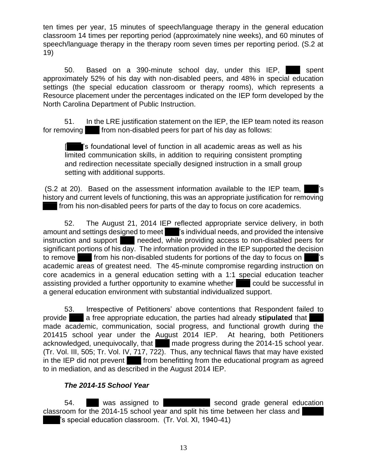ten times per year, 15 minutes of speech/language therapy in the general education classroom 14 times per reporting period (approximately nine weeks), and 60 minutes of speech/language therapy in the therapy room seven times per reporting period. (S.2 at 19)

50. Based on a 390-minute school day, under this IEP, spent approximately 52% of his day with non-disabled peers, and 48% in special education settings (the special education classroom or therapy rooms), which represents a Resource placement under the percentages indicated on the IEP form developed by the North Carolina Department of Public Instruction.

51. In the LRE justification statement on the IEP, the IEP team noted its reason for removing from non-disabled peers for part of his day as follows:

[ 's foundational level of function in all academic areas as well as his limited communication skills, in addition to requiring consistent prompting and redirection necessitate specially designed instruction in a small group setting with additional supports.

 $(S.2$  at 20). Based on the assessment information available to the IEP team,  $\sim$  's history and current levels of functioning, this was an appropriate justification for removing from his non-disabled peers for parts of the day to focus on core academics.

52. The August 21, 2014 IEP reflected appropriate service delivery, in both amount and settings designed to meet  $\blacksquare$  's individual needs, and provided the intensive  $\frac{1}{2}$  instruction and support needed, while providing access to non-disabled peers for significant portions of his day. The information provided in the IEP supported the decision to remove  $\blacksquare$  from his non-disabled students for portions of the day to focus on  $\blacksquare$ 's academic areas of greatest need. The 45-minute compromise regarding instruction on core academics in a general education setting with a 1:1 special education teacher assisting provided a further opportunity to examine whether could be successful in a general education environment with substantial individualized support.

53. Irrespective of Petitioners' above contentions that Respondent failed to provide a free appropriate education, the parties had already **stipulated** that made academic, communication, social progress, and functional growth during the 201415 school year under the August 2014 IEP. At hearing, both Petitioners acknowledged, unequivocally, that made progress during the 2014-15 school year. (Tr. Vol. III, 505; Tr. Vol. IV, 717, 722). Thus, any technical flaws that may have existed in the IEP did not prevent  $\blacksquare$  from benefitting from the educational program as agreed to in mediation, and as described in the August 2014 IEP.

## *The 2014-15 School Year*

54. Was assigned to Research Second grade general education classroom for the 2014-15 school year and split his time between her class and 's special education classroom. (Tr. Vol. XI, 1940-41)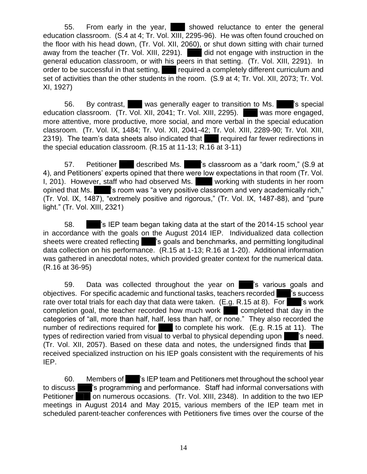55. From early in the year, showed reluctance to enter the general education classroom. (S.4 at 4; Tr. Vol. XIII, 2295-96). He was often found crouched on the floor with his head down, (Tr. Vol. XII, 2060), or shut down sitting with chair turned away from the teacher (Tr. Vol. XIII, 2291). did not engage with instruction in the general education classroom, or with his peers in that setting. (Tr. Vol. XIII, 2291). In order to be successful in that setting, required a completely different curriculum and set of activities than the other students in the room. (S.9 at 4; Tr. Vol. XII, 2073; Tr. Vol. XI, 1927)

56. By contrast, was generally eager to transition to Ms. Bunnis is special education classroom. (Tr. Vol. XII, 2041; Tr. Vol. XIII, 2295). was more engaged, more attentive, more productive, more social, and more verbal in the special education classroom. (Tr. Vol. IX, 1484; Tr. Vol. XII, 2041-42; Tr. Vol. XIII, 2289-90; Tr. Vol. XIII, 2319). The team's data sheets also indicated that required far fewer redirections in the special education classroom. (R.15 at 11-13; R.16 at 3-11)

57. Petitioner described Ms. is classroom as a "dark room," (S.9 at 4), and Petitioners' experts opined that there were low expectations in that room (Tr. Vol. I, 201). However, staff who had observed Ms. Bunn working with students in her room opined that Ms. Bunds is room was "a very positive classroom and very academically rich," (Tr. Vol. IX, 1487), "extremely positive and rigorous," (Tr. Vol. IX, 1487-88), and "pure light." (Tr. Vol. XIII, 2321)

58. **The Start of the 2014-15 school year** is IEP team began taking data at the start of the 2014-15 school year in accordance with the goals on the August 2014 IEP. Individualized data collection sheets were created reflecting  $\blacksquare$  's goals and benchmarks, and permitting longitudinal data collection on his performance. (R.15 at 1-13; R.16 at 1-20). Additional information was gathered in anecdotal notes, which provided greater context for the numerical data. (R.16 at 36-95)

59. Data was collected throughout the year on Sangler's various goals and objectives. For specific academic and functional tasks, teachers recorded  $\blacksquare$  's success rate over total trials for each day that data were taken.  $(E.g. R.15 at 8)$ . For  $\blacksquare$ 's work completion goal, the teacher recorded how much work  $\Box$  completed that day in the categories of "all, more than half, half, less than half, or none." They also recorded the number of redirections required for the complete his work. (E.g. R.15 at 11). The types of redirection varied from visual to verbal to physical depending upon  $\blacksquare$  's need. (Tr. Vol. XII, 2057). Based on these data and notes, the undersigned finds that received specialized instruction on his IEP goals consistent with the requirements of his IEP.

60. Members of state is IEP team and Petitioners met throughout the school year to discuss  $\blacksquare$  's programming and performance. Staff had informal conversations with Petitioner **P. on numerous occasions.** (Tr. Vol. XIII, 2348). In addition to the two IEP meetings in August 2014 and May 2015, various members of the IEP team met in scheduled parent-teacher conferences with Petitioners five times over the course of the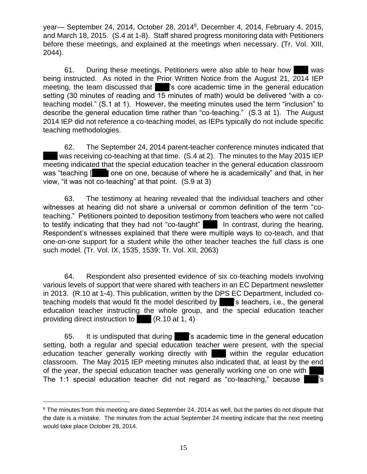year— September 24, 2014, October 28, 2014<sup>6</sup>, December 4, 2014, February 4, 2015, and March 18, 2015. (S.4 at 1-8). Staff shared progress monitoring data with Petitioners before these meetings, and explained at the meetings when necessary. (Tr. Vol. XIII, 2044).

61. During these meetings, Petitioners were also able to hear how being instructed. As noted in the Prior Written Notice from the August 21, 2014 IEP meeting, the team discussed that 's core academic time in the general education setting (30 minutes of reading and 15 minutes of math) would be delivered "with a coteaching model." (S.1 at 1). However, the meeting minutes used the term "inclusion" to describe the general education time rather than "co-teaching." (S.3 at 1). The August 2014 IEP did not reference a co-teaching model, as IEPs typically do not include specific teaching methodologies.

62. The September 24, 2014 parent-teacher conference minutes indicated that was receiving co-teaching at that time. (S.4 at 2). The minutes to the May 2015 IEP meeting indicated that the special education teacher in the general education classroom was "teaching  $\begin{bmatrix} 1 & 1 \\ 0 & 0 \end{bmatrix}$  one on one, because of where he is academically" and that, in her view, "it was not co-teaching" at that point. (S.9 at 3)

63. The testimony at hearing revealed that the individual teachers and other witnesses at hearing did not share a universal or common definition of the term "coteaching." Petitioners pointed to deposition testimony from teachers who were not called to testify indicating that they had not "co-taught" In contrast, during the hearing, Respondent's witnesses explained that there were multiple ways to co-teach, and that one-on-one support for a student while the other teacher teaches the full class is one such model. (Tr. Vol. IX, 1535, 1539; Tr. Vol. XII, 2063)

64. Respondent also presented evidence of six co-teaching models involving various levels of support that were shared with teachers in an EC Department newsletter in 2013. (R.10 at 1-4). This publication, written by the DPS EC Department, included coteaching models that would fit the model described by steachers, i.e., the general education teacher instructing the whole group, and the special education teacher providing direct instruction to (R.10 at 1, 4)

65. It is undisputed that during  $\sim$  's academic time in the general education setting, both a regular and special education teacher were present, with the special education teacher generally working directly with within the regular education classroom. The May 2015 IEP meeting minutes also indicated that, at least by the end of the year, the special education teacher was generally working one on one with The 1:1 special education teacher did not regard as "co-teaching," because

 $\overline{a}$ 

<sup>&</sup>lt;sup>6</sup> The minutes from this meeting are dated September 24, 2014 as well, but the parties do not dispute that the date is a mistake. The minutes from the actual September 24 meeting indicate that the next meeting would take place October 28, 2014.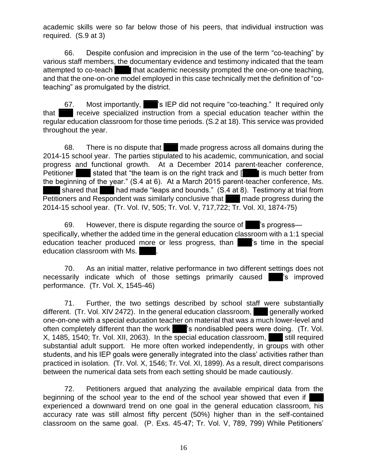academic skills were so far below those of his peers, that individual instruction was required. (S.9 at 3)

66. Despite confusion and imprecision in the use of the term "co-teaching" by various staff members, the documentary evidence and testimony indicated that the team attempted to co-teach **that academic necessity prompted the one-on-one teaching,** and that the one-on-one model employed in this case technically met the definition of "coteaching" as promulgated by the district.

67. Most importantly, statude is IEP did not require "co-teaching." It required only that receive specialized instruction from a special education teacher within the regular education classroom for those time periods. (S.2 at 18). This service was provided throughout the year.

68. There is no dispute that made progress across all domains during the 2014-15 school year. The parties stipulated to his academic, communication, and social progress and functional growth. At a December 2014 parent-teacher conference, Petitioner **P.** stated that "the team is on the right track and  $\begin{bmatrix} 1 \\ 1 \end{bmatrix}$  is much better from the beginning of the year." (S.4 at 6). At a March 2015 parent-teacher conference, Ms. shared that had made "leaps and bounds." (S.4 at 8). Testimony at trial from Petitioners and Respondent was similarly conclusive that made progress during the 2014-15 school year. (Tr. Vol. IV, 505; Tr. Vol. V, 717,722; Tr. Vol. XI, 1874-75)

69. However, there is dispute regarding the source of **Fig. 2**'s progress specifically, whether the added time in the general education classroom with a 1:1 special education teacher produced more or less progress, than is time in the special education classroom with Ms.

70. As an initial matter, relative performance in two different settings does not necessarily indicate which of those settings primarily caused solis improved performance. (Tr. Vol. X, 1545-46)

71. Further, the two settings described by school staff were substantially different. (Tr. Vol. XIV 2472). In the general education classroom, generally worked one-on-one with a special education teacher on material that was a much lower-level and often completely different than the work 's nondisabled peers were doing. (Tr. Vol.  $X$ , 1485, 1540; Tr. Vol. XII, 2063). In the special education classroom, still required substantial adult support. He more often worked independently, in groups with other students, and his IEP goals were generally integrated into the class' activities rather than practiced in isolation. (Tr. Vol. X, 1546; Tr. Vol. XI, 1899). As a result, direct comparisons between the numerical data sets from each setting should be made cautiously.

72. Petitioners argued that analyzing the available empirical data from the beginning of the school year to the end of the school year showed that even if experienced a downward trend on one goal in the general education classroom, his accuracy rate was still almost fifty percent (50%) higher than in the self-contained classroom on the same goal. (P. Exs. 45-47; Tr. Vol. V, 789, 799) While Petitioners'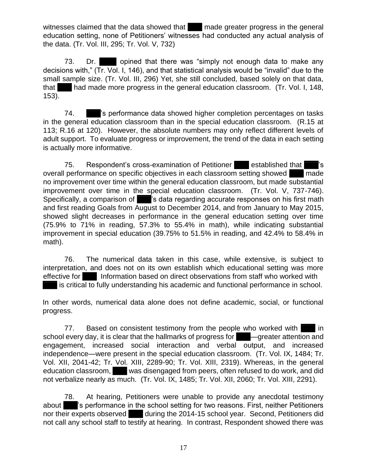witnesses claimed that the data showed that made greater progress in the general education setting, none of Petitioners' witnesses had conducted any actual analysis of the data. (Tr. Vol. III, 295; Tr. Vol. V, 732)

73. Dr. Copined that there was "simply not enough data to make any decisions with," (Tr. Vol. I, 146), and that statistical analysis would be "invalid" due to the small sample size. (Tr. Vol. III, 296) Yet, she still concluded, based solely on that data, that had made more progress in the general education classroom. (Tr. Vol. I, 148, 153).

74. **The Step is performance data showed higher completion percentages on tasks** in the general education classroom than in the special education classroom. (R.15 at 113; R.16 at 120). However, the absolute numbers may only reflect different levels of adult support. To evaluate progress or improvement, the trend of the data in each setting is actually more informative.

75. Respondent's cross-examination of Petitioner established that 's overall performance on specific objectives in each classroom setting showed made no improvement over time within the general education classroom, but made substantial improvement over time in the special education classroom. (Tr. Vol. V, 737-746). Specifically, a comparison of 's data regarding accurate responses on his first math and first reading Goals from August to December 2014, and from January to May 2015, showed slight decreases in performance in the general education setting over time (75.9% to 71% in reading, 57.3% to 55.4% in math), while indicating substantial improvement in special education (39.75% to 51.5% in reading, and 42.4% to 58.4% in math).

76. The numerical data taken in this case, while extensive, is subject to interpretation, and does not on its own establish which educational setting was more effective for **Information based on direct observations from staff who worked with** is critical to fully understanding his academic and functional performance in school.

In other words, numerical data alone does not define academic, social, or functional progress.

77. Based on consistent testimony from the people who worked with in school every day, it is clear that the hallmarks of progress for **All-Audion** extention and engagement, increased social interaction and verbal output, and increased independence—were present in the special education classroom. (Tr. Vol. IX, 1484; Tr. Vol. XII, 2041-42; Tr. Vol. XIII, 2289-90; Tr. Vol. XIII, 2319). Whereas, in the general education classroom, was disengaged from peers, often refused to do work, and did not verbalize nearly as much. (Tr. Vol. IX, 1485; Tr. Vol. XII, 2060; Tr. Vol. XIII, 2291).

78. At hearing, Petitioners were unable to provide any anecdotal testimony about 's performance in the school setting for two reasons. First, neither Petitioners nor their experts observed during the 2014-15 school year. Second, Petitioners did not call any school staff to testify at hearing. In contrast, Respondent showed there was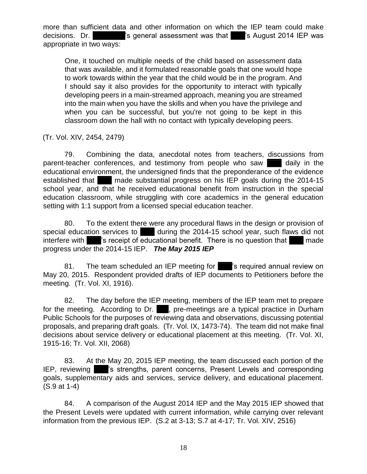more than sufficient data and other information on which the IEP team could make decisions. Dr. The 's general assessment was that || 's August 2014 IEP was appropriate in two ways:

One, it touched on multiple needs of the child based on assessment data that was available, and it formulated reasonable goals that one would hope to work towards within the year that the child would be in the program. And I should say it also provides for the opportunity to interact with typically developing peers in a main-streamed approach, meaning you are streamed into the main when you have the skills and when you have the privilege and when you can be successful, but you're not going to be kept in this classroom down the hall with no contact with typically developing peers.

(Tr. Vol. XIV, 2454, 2479)

79. Combining the data, anecdotal notes from teachers, discussions from parent-teacher conferences, and testimony from people who saw daily in the educational environment, the undersigned finds that the preponderance of the evidence established that **notational made substantial progress on his IEP goals during the 2014-15** school year, and that he received educational benefit from instruction in the special education classroom, while struggling with core academics in the general education setting with 1:1 support from a licensed special education teacher.

80. To the extent there were any procedural flaws in the design or provision of special education services to during the 2014-15 school year, such flaws did not interfere with 's receipt of educational benefit. There is no question that made progress under the 2014-15 IEP. *The May 2015 IEP*

81. The team scheduled an IEP meeting for 's required annual review on May 20, 2015. Respondent provided drafts of IEP documents to Petitioners before the meeting. (Tr. Vol. XI, 1916).

82. The day before the IEP meeting, members of the IEP team met to prepare for the meeting. According to Dr.  $\blacksquare$ , pre-meetings are a typical practice in Durham Public Schools for the purposes of reviewing data and observations, discussing potential proposals, and preparing draft goals. (Tr. Vol. IX, 1473-74). The team did not make final decisions about service delivery or educational placement at this meeting. (Tr. Vol. XI, 1915-16; Tr. Vol. XII, 2068)

83. At the May 20, 2015 IEP meeting, the team discussed each portion of the IEP, reviewing 's strengths, parent concerns, Present Levels and corresponding goals, supplementary aids and services, service delivery, and educational placement. (S.9 at 1-4)

84. A comparison of the August 2014 IEP and the May 2015 IEP showed that the Present Levels were updated with current information, while carrying over relevant information from the previous IEP. (S.2 at 3-13; S.7 at 4-17; Tr. Vol. XIV, 2516)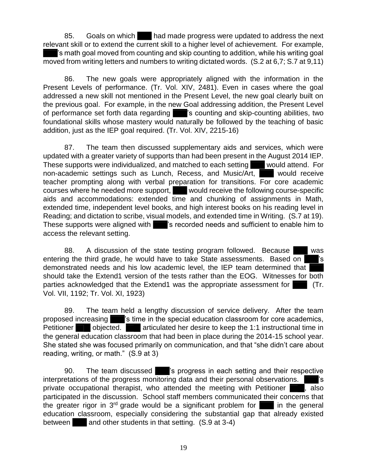85. Goals on which had made progress were updated to address the next relevant skill or to extend the current skill to a higher level of achievement. For example, 's math goal moved from counting and skip counting to addition, while his writing goal moved from writing letters and numbers to writing dictated words. (S.2 at 6,7; S.7 at 9,11)

86. The new goals were appropriately aligned with the information in the Present Levels of performance. (Tr. Vol. XIV, 2481). Even in cases where the goal addressed a new skill not mentioned in the Present Level, the new goal clearly built on the previous goal. For example, in the new Goal addressing addition, the Present Level of performance set forth data regarding  $\parallel$  's counting and skip-counting abilities, two foundational skills whose mastery would naturally be followed by the teaching of basic addition, just as the IEP goal required. (Tr. Vol. XIV, 2215-16)

87. The team then discussed supplementary aids and services, which were updated with a greater variety of supports than had been present in the August 2014 IEP. These supports were individualized, and matched to each setting would attend. For non-academic settings such as Lunch, Recess, and Music/Art, would receive teacher prompting along with verbal preparation for transitions. For core academic courses where he needed more support, would receive the following course-specific aids and accommodations: extended time and chunking of assignments in Math, extended time, independent level books, and high interest books on his reading level in Reading; and dictation to scribe, visual models, and extended time in Writing. (S.7 at 19). These supports were aligned with  $\blacksquare$  's recorded needs and sufficient to enable him to access the relevant setting.

88. A discussion of the state testing program followed. Because entering the third grade, he would have to take State assessments. Based on  $\blacksquare$ 's demonstrated needs and his low academic level, the IEP team determined that should take the Extend1 version of the tests rather than the EOG. Witnesses for both parties acknowledged that the Extend1 was the appropriate assessment for **Fig.** (Tr. Vol. VII, 1192; Tr. Vol. XI, 1923)

89. The team held a lengthy discussion of service delivery. After the team proposed increasing  $\blacksquare$  's time in the special education classroom for core academics, Petitioner **P.** objected. **P. articulated her desire to keep the 1:1 instructional time in** the general education classroom that had been in place during the 2014-15 school year. She stated she was focused primarily on communication, and that "she didn't care about reading, writing, or math." (S.9 at 3)

90. The team discussed 's progress in each setting and their respective interpretations of the progress monitoring data and their personal observations.  $\blacksquare$  's private occupational therapist, who attended the meeting with Petitioner  $\blacksquare$ , also participated in the discussion. School staff members communicated their concerns that the greater rigor in  $3<sup>rd</sup>$  grade would be a significant problem for in the general education classroom, especially considering the substantial gap that already existed between and other students in that setting.  $(S.9$  at 3-4)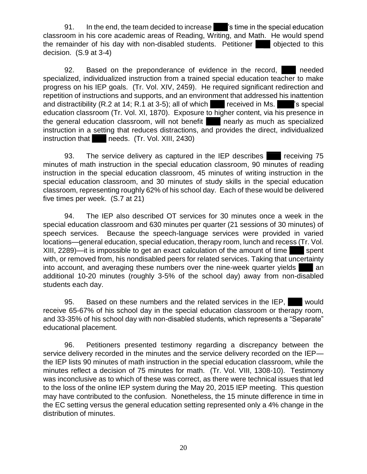91. In the end, the team decided to increase station is time in the special education classroom in his core academic areas of Reading, Writing, and Math. He would spend the remainder of his day with non-disabled students. Petitioner  $\blacksquare$  objected to this decision. (S.9 at 3-4)

92. Based on the preponderance of evidence in the record, specialized, individualized instruction from a trained special education teacher to make progress on his IEP goals. (Tr. Vol. XIV, 2459). He required significant redirection and repetition of instructions and supports, and an environment that addressed his inattention and distractibility (R.2 at 14; R.1 at 3-5); all of which received in Ms.  $\blacksquare$  's special education classroom (Tr. Vol. XI, 1870). Exposure to higher content, via his presence in the general education classroom, will not benefit nearly as much as specialized instruction in a setting that reduces distractions, and provides the direct, individualized instruction that needs. (Tr. Vol. XIII, 2430)

93. The service delivery as captured in the IEP describes **receiving 75** minutes of math instruction in the special education classroom, 90 minutes of reading instruction in the special education classroom, 45 minutes of writing instruction in the special education classroom, and 30 minutes of study skills in the special education classroom, representing roughly 62% of his school day. Each of these would be delivered five times per week. (S.7 at 21)

94. The IEP also described OT services for 30 minutes once a week in the special education classroom and 630 minutes per quarter (21 sessions of 30 minutes) of speech services. Because the speech-language services were provided in varied locations—general education, special education, therapy room, lunch and recess (Tr. Vol. XIII, 2289)—it is impossible to get an exact calculation of the amount of time spent with, or removed from, his nondisabled peers for related services. Taking that uncertainty into account, and averaging these numbers over the nine-week quarter yields  $\Box$  an additional 10-20 minutes (roughly 3-5% of the school day) away from non-disabled students each day.

95. Based on these numbers and the related services in the IEP, would receive 65-67% of his school day in the special education classroom or therapy room, and 33-35% of his school day with non-disabled students, which represents a "Separate" educational placement.

96. Petitioners presented testimony regarding a discrepancy between the service delivery recorded in the minutes and the service delivery recorded on the IEP the IEP lists 90 minutes of math instruction in the special education classroom, while the minutes reflect a decision of 75 minutes for math. (Tr. Vol. VIII, 1308-10). Testimony was inconclusive as to which of these was correct, as there were technical issues that led to the loss of the online IEP system during the May 20, 2015 IEP meeting. This question may have contributed to the confusion. Nonetheless, the 15 minute difference in time in the EC setting versus the general education setting represented only a 4% change in the distribution of minutes.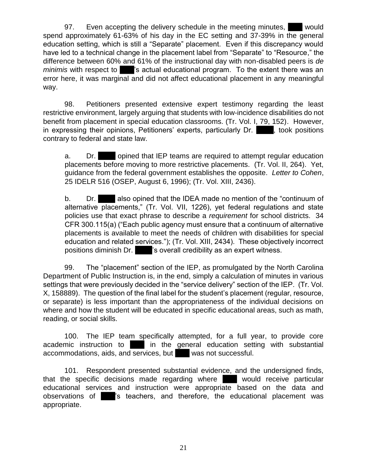97. Even accepting the delivery schedule in the meeting minutes, would spend approximately 61-63% of his day in the EC setting and 37-39% in the general education setting, which is still a "Separate" placement. Even if this discrepancy would have led to a technical change in the placement label from "Separate" to "Resource," the difference between 60% and 61% of the instructional day with non-disabled peers is *de minimis* with respect to **i** is actual educational program. To the extent there was an error here, it was marginal and did not affect educational placement in any meaningful way.

98. Petitioners presented extensive expert testimony regarding the least restrictive environment, largely arguing that students with low-incidence disabilities do not benefit from placement in special education classrooms. (Tr. Vol. I, 79, 152). However, in expressing their opinions, Petitioners' experts, particularly Dr. Australians, took positions contrary to federal and state law.

a. Dr. opined that IEP teams are required to attempt regular education placements before moving to more restrictive placements. (Tr. Vol. II, 264). Yet, guidance from the federal government establishes the opposite. *Letter to Cohen*, 25 IDELR 516 (OSEP, August 6, 1996); (Tr. Vol. XIII, 2436).

b. Dr. also opined that the IDEA made no mention of the "continuum of alternative placements," (Tr. Vol. VII, 1226), yet federal regulations and state policies use that exact phrase to describe a *requirement* for school districts. 34 CFR 300.115(a) ("Each public agency must ensure that a continuum of alternative placements is available to meet the needs of children with disabilities for special education and related services."); (Tr. Vol. XIII, 2434). These objectively incorrect positions diminish Dr. Kurth's overall credibility as an expert witness.

99. The "placement" section of the IEP, as promulgated by the North Carolina Department of Public Instruction is, in the end, simply a calculation of minutes in various settings that were previously decided in the "service delivery" section of the IEP. (Tr. Vol. X, 158889). The question of the final label for the student's placement (regular, resource, or separate) is less important than the appropriateness of the individual decisions on where and how the student will be educated in specific educational areas, such as math, reading, or social skills.

100. The IEP team specifically attempted, for a full year, to provide core academic instruction to **in the general education setting with substantial** accommodations, aids, and services, but was not successful.

101. Respondent presented substantial evidence, and the undersigned finds, that the specific decisions made regarding where  $\Box$  would receive particular educational services and instruction were appropriate based on the data and observations of 's teachers, and therefore, the educational placement was appropriate.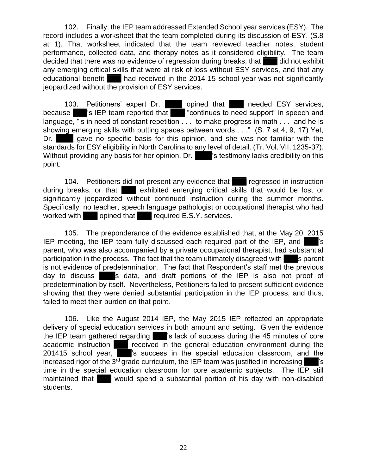102. Finally, the IEP team addressed Extended School year services (ESY). The record includes a worksheet that the team completed during its discussion of ESY. (S.8 at 1). That worksheet indicated that the team reviewed teacher notes, student performance, collected data, and therapy notes as it considered eligibility. The team decided that there was no evidence of regression during breaks, that  $\Box$  did not exhibit any emerging critical skills that were at risk of loss without ESY services, and that any educational benefit had received in the 2014-15 school year was not significantly jeopardized without the provision of ESY services.

103. Petitioners' expert Dr. Nopined that needed ESY services, because | 's IEP team reported that | "continues to need support" in speech and language, "is in need of constant repetition . . . to make progress in math . . . and he is showing emerging skills with putting spaces between words . . ." (S. 7 at 4, 9, 17) Yet, Dr. **Example 20 a** gave no specific basis for this opinion, and she was not familiar with the standards for ESY eligibility in North Carolina to any level of detail. (Tr. Vol. VII, 1235-37). Without providing any basis for her opinion,  $Dr.$   $\blacksquare$  's testimony lacks credibility on this point.

104. Petitioners did not present any evidence that regressed in instruction during breaks, or that exhibited emerging critical skills that would be lost or significantly jeopardized without continued instruction during the summer months. Specifically, no teacher, speech language pathologist or occupational therapist who had worked with opined that required E.S.Y. services.

105. The preponderance of the evidence established that, at the May 20, 2015 IEP meeting, the IEP team fully discussed each required part of the IEP, and parent, who was also accompanied by a private occupational therapist, had substantial participation in the process. The fact that the team ultimately disagreed with  $\blacksquare$  s parent is not evidence of predetermination. The fact that Respondent's staff met the previous day to discuss  $\|\cdot\|$  is data, and draft portions of the IEP is also not proof of predetermination by itself. Nevertheless, Petitioners failed to present sufficient evidence showing that they were denied substantial participation in the IEP process, and thus, failed to meet their burden on that point.

106. Like the August 2014 IEP, the May 2015 IEP reflected an appropriate delivery of special education services in both amount and setting. Given the evidence the IEP team gathered regarding  $\blacksquare$  's lack of success during the 45 minutes of core academic instruction **received in the general education environment during the** 201415 school year, <sup>'</sup>s success in the special education classroom, and the increased rigor of the  $3<sup>rd</sup>$  grade curriculum, the IEP team was justified in increasing time in the special education classroom for core academic subjects. The IEP still maintained that would spend a substantial portion of his day with non-disabled students.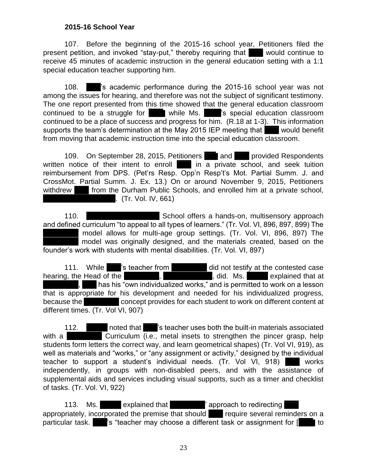#### **2015-16 School Year**

107. Before the beginning of the 2015-16 school year, Petitioners filed the present petition, and invoked "stay-put," thereby requiring that would continue to receive 45 minutes of academic instruction in the general education setting with a 1:1 special education teacher supporting him.

108. 's academic performance during the 2015-16 school year was not among the issues for hearing, and therefore was not the subject of significant testimony. The one report presented from this time showed that the general education classroom continued to be a struggle for while Ms.  $\blacksquare$  while Ms. Bunnis is special education classroom continued to be a place of success and progress for him. (R.18 at 1-3). This information supports the team's determination at the May 2015 IEP meeting that would benefit from moving that academic instruction time into the special education classroom.

109. On September 28, 2015, Petitioners and Provided Respondents written notice of their intent to enroll in a private school, and seek tuition reimbursement from DPS. (Pet'rs Resp. Opp'n Resp't's Mot. Partial Summ. J. and CrossMot. Partial Summ. J. Ex. 13.) On or around November 9, 2015, Petitioners withdrew **from the Durham Public Schools**, and enrolled him at a private school, . (Tr. Vol. IV, 661)

110. **Pinewoods Montes Montes School offers a hands-on, multisensory approach** and defined curriculum "to appeal to all types of learners." (Tr. Vol. VI, 896, 897, 899) The model allows for multi-age group settings. (Tr. Vol. VI, 896, 897) The model was originally designed, and the materials created, based on the founder's work with students with mental disabilities. (Tr. Vol. VI, 897)

111. While 's teacher from did not testify at the contested case hearing, the Head of the **Pinemann Sewell, Designation Section**, did. Ms. Sexewell explained that at  $\mathbb{R}$ ,  $\blacksquare$  has his "own individualized works," and is permitted to work on a lesson that is appropriate for his development and needed for his individualized progress, because the **Montest concept provides for each student to work on different content at** different times. (Tr. Vol VI, 907)

112. Sewell noted that  $\blacksquare$  's teacher uses both the built-in materials associated with a  $\blacksquare$  Curriculum (i.e., metal insets to strengthen the pincer grasp, help students form letters the correct way, and learn geometrical shapes) (Tr. Vol VI, 919), as well as materials and "works," or "any assignment or activity," designed by the individual teacher to support a student's individual needs. (Tr. Vol VI, 918) works independently, in groups with non-disabled peers, and with the assistance of supplemental aids and services including visual supports, such as a timer and checklist of tasks. (Tr. Vol. VI, 922)

113. Ms. explained that **Pinewoods** approach to redirecting appropriately, incorporated the premise that should require several reminders on a particular task.  $\blacksquare$  's "teacher may choose a different task or assignment for  $\blacksquare$  to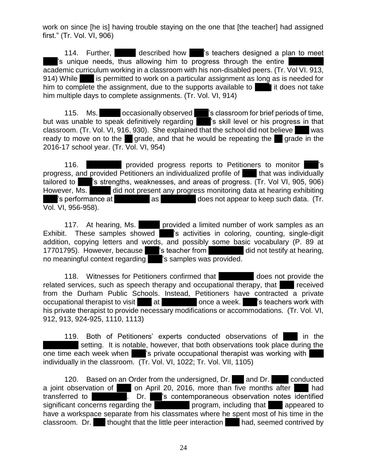work on since [he is] having trouble staying on the one that [the teacher] had assigned first." (Tr. Vol. VI, 906)

114. Further, described how 's teachers designed a plan to meet 's unique needs, thus allowing him to progress through the entire academic curriculum working in a classroom with his non-disabled peers. (Tr. Vol VI. 913, 914) While is permitted to work on a particular assignment as long as is needed for him to complete the assignment, due to the supports available to  $\blacksquare$  it does not take him multiple days to complete assignments. (Tr. Vol. VI, 914)

115. Ms.  $\blacksquare$  occasionally observed  $\blacksquare$  's classroom for brief periods of time, but was unable to speak definitively regarding 's skill level or his progress in that classroom. (Tr. Vol. VI, 916, 930). She explained that the school did not believe was ready to move on to the grade, and that he would be repeating the grade in the 2016-17 school year. (Tr. Vol. VI, 954)

116. **Phonon provided progress reports to Petitioners to monitor in the 's** progress, and provided Petitioners an individualized profile of that was individually tailored to 's strengths, weaknesses, and areas of progress. (Tr. Vol VI, 905, 906) However, Ms. Sewell did not present any progress monitoring data at hearing exhibiting 's performance at Pinewoods as Pinewoods as Pinewoods appear to keep such data. (Tr. Vol. VI, 956-958).

117. At hearing, Ms. Sewell provided a limited number of work samples as an Exhibit. These samples showed **is activities in coloring, counting, single-digit** addition, copying letters and words, and possibly some basic vocabulary (P. 89 at 17701795). However, because 's teacher from etheroid did not testify at hearing, no meaningful context regarding 's samples was provided.

118. Witnesses for Petitioners confirmed that **Pineman and all about the state of provide the** related services, such as speech therapy and occupational therapy, that  $\blacksquare$  received from the Durham Public Schools. Instead, Petitioners have contracted a private occupational therapist to visit at Pinemann and Conce a week. Your steachers work with his private therapist to provide necessary modifications or accommodations. (Tr. Vol. VI, 912, 913, 924-925, 1110, 1113)

119. Both of Petitioners' experts conducted observations of in the setting. It is notable, however, that both observations took place during the one time each week when <sup>'</sup>'s private occupational therapist was working with individually in the classroom. (Tr. Vol. VI, 1022; Tr. Vol. VII, 1105)

120. Based on an Order from the undersigned, Dr. All and Dr. Conducted a joint observation of  $\Box$  on April 20, 2016, more than five months after  $\Box$  had transferred to **Pincewoods.** Dr. Bell's contemporaneous observation notes identified significant concerns regarding the **Pinemannian program**, including that **Pinemannia** appeared to have a workspace separate from his classmates where he spent most of his time in the classroom. Dr.  $\blacksquare$  thought that the little peer interaction had, seemed contrived by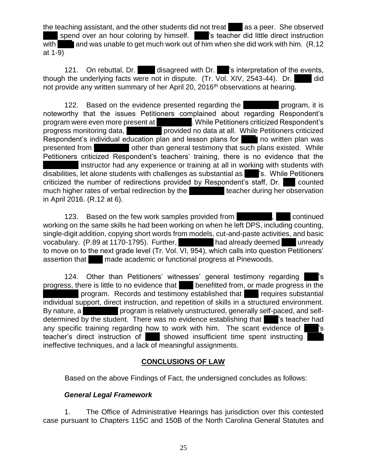the teaching assistant, and the other students did not treat as a peer. She observed spend over an hour coloring by himself.  $\blacksquare$  's teacher did little direct instruction with and was unable to get much work out of him when she did work with him. (R.12) at 1-9)

121. On rebuttal, Dr. disagreed with Dr. Sinterpretation of the events, though the underlying facts were not in dispute.  $(Tr. Vol. XIV, 2543-44)$ . Dr. not provide any written summary of her April 20, 2016<sup>th</sup> observations at hearing.

122. Based on the evidence presented regarding the **Pineman** program, it is noteworthy that the issues Petitioners complained about regarding Respondent's program were even more present at **Pinewoods. While Petitioners criticized Respondent's** progress monitoring data, **Pinema provided no data at all. While Petitioners criticized** Respondent's individual education plan and lesson plans for no written plan was presented from ether than general testimony that such plans existed. While Petitioners criticized Respondent's teachers' training, there is no evidence that the Instructor had any experience or training at all in working with students with disabilities, let alone students with challenges as substantial as states. While Petitioners criticized the number of redirections provided by Respondent's staff, Dr. Counted much higher rates of verbal redirection by the **Pineman and teacher during her observation** in April 2016. (R.12 at 6).

123. Based on the few work samples provided from **Piney Schools**, continued working on the same skills he had been working on when he left DPS, including counting, single-digit addition, copying short words from models, cut-and-paste activities, and basic vocabulary. (P.89 at 1170-1795). Further, had already deemed unready to move on to the next grade level (Tr. Vol. VI, 954), which calls into question Petitioners' assertion that made academic or functional progress at Pinewoods.

124. Other than Petitioners' witnesses' general testimony regarding in 's progress, there is little to no evidence that benefitted from, or made progress in the program. Records and testimony established that requires substantial individual support, direct instruction, and repetition of skills in a structured environment. By nature, a Montessori program is relatively unstructured, generally self-paced, and selfdetermined by the student. There was no evidence establishing that  $\mathbf{S}$  is teacher had any specific training regarding how to work with him. The scant evidence of  $\sim$  's teacher's direct instruction of showed insufficient time spent instructing ineffective techniques, and a lack of meaningful assignments.

## **CONCLUSIONS OF LAW**

Based on the above Findings of Fact, the undersigned concludes as follows:

## *General Legal Framework*

1. The Office of Administrative Hearings has jurisdiction over this contested case pursuant to Chapters 115C and 150B of the North Carolina General Statutes and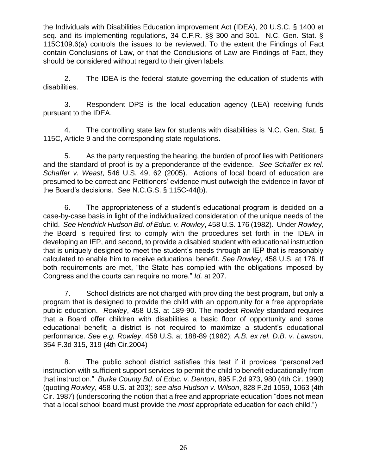the Individuals with Disabilities Education improvement Act (IDEA), 20 U.S.C. § 1400 et seq. and its implementing regulations, 34 C.F.R. §§ 300 and 301. N.C. Gen. Stat. § 115C109.6(a) controls the issues to be reviewed. To the extent the Findings of Fact contain Conclusions of Law, or that the Conclusions of Law are Findings of Fact, they should be considered without regard to their given labels.

2. The IDEA is the federal statute governing the education of students with disabilities.

3. Respondent DPS is the local education agency (LEA) receiving funds pursuant to the IDEA.

4. The controlling state law for students with disabilities is N.C. Gen. Stat. § 115C, Article 9 and the corresponding state regulations.

5. As the party requesting the hearing, the burden of proof lies with Petitioners and the standard of proof is by a preponderance of the evidence. *See Schaffer ex rel. Schaffer v. Weast*, 546 U.S. 49, 62 (2005). Actions of local board of education are presumed to be correct and Petitioners' evidence must outweigh the evidence in favor of the Board's decisions. *See* N.C.G.S. § 115C-44(b).

6. The appropriateness of a student's educational program is decided on a case-by-case basis in light of the individualized consideration of the unique needs of the child. *See Hendrick Hudson Bd. of Educ. v. Rowley*, 458 U.S. 176 (1982). Under *Rowley*, the Board is required first to comply with the procedures set forth in the IDEA in developing an IEP, and second, to provide a disabled student with educational instruction that is uniquely designed to meet the student's needs through an IEP that is reasonably calculated to enable him to receive educational benefit. *See Rowley*, 458 U.S. at 176. If both requirements are met, "the State has complied with the obligations imposed by Congress and the courts can require no more." *Id.* at 207.

7. School districts are not charged with providing the best program, but only a program that is designed to provide the child with an opportunity for a free appropriate public education. *Rowley*, 458 U.S. at 189-90. The modest *Rowley* standard requires that a Board offer children with disabilities a basic floor of opportunity and some educational benefit; a district is not required to maximize a student's educational performance. *See e.g. Rowley*, 458 U.S. at 188-89 (1982); *A.B. ex rel. D.B. v. Lawson,*  354 F.3d 315, 319 (4th Cir.2004)

8. The public school district satisfies this test if it provides "personalized instruction with sufficient support services to permit the child to benefit educationally from that instruction." *Burke County Bd. of Educ. v. Denton*, 895 F.2d 973, 980 (4th Cir. 1990) (quoting *Rowley*, 458 U.S. at 203); *see also Hudson v. Wilson*, 828 F.2d 1059, 1063 (4th Cir. 1987) (underscoring the notion that a free and appropriate education "does not mean that a local school board must provide the *most* appropriate education for each child.")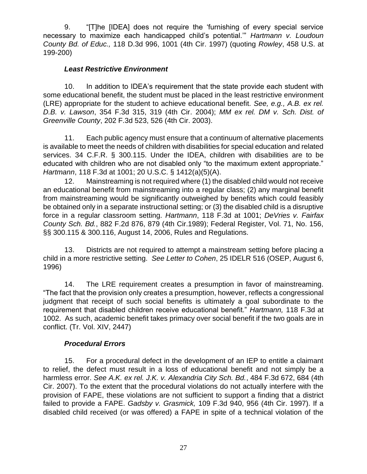9. "[T]he [IDEA] does not require the 'furnishing of every special service necessary to maximize each handicapped child's potential.'" *Hartmann v. Loudoun County Bd. of Educ.,* 118 D.3d 996, 1001 (4th Cir. 1997) (quoting *Rowley*, 458 U.S. at 199-200)

## *Least Restrictive Environment*

10. In addition to IDEA's requirement that the state provide each student with some educational benefit, the student must be placed in the least restrictive environment (LRE) appropriate for the student to achieve educational benefit. *See, e.g., A.B. ex rel. D.B. v. Lawson*, 354 F.3d 315, 319 (4th Cir. 2004); *MM ex rel. DM v. Sch. Dist. of Greenville County*, 202 F.3d 523, 526 (4th Cir. 2003).

11. Each public agency must ensure that a continuum of alternative placements is available to meet the needs of children with disabilities for special education and related services. 34 C.F.R. § 300.115. Under the IDEA, children with disabilities are to be educated with children who are not disabled only "to the maximum extent appropriate." *Hartmann*, 118 F.3d at 1001; 20 U.S.C. § 1412(a)(5)(A).

12. Mainstreaming is not required where (1) the disabled child would not receive an educational benefit from mainstreaming into a regular class; (2) any marginal benefit from mainstreaming would be significantly outweighed by benefits which could feasibly be obtained only in a separate instructional setting; or (3) the disabled child is a disruptive force in a regular classroom setting. *Hartmann*, 118 F.3d at 1001; *DeVries v. Fairfax County Sch. Bd.*, 882 F.2d 876, 879 (4th Cir.1989); Federal Register, Vol. 71, No. 156, §§ 300.115 & 300.116, August 14, 2006, Rules and Regulations.

13. Districts are not required to attempt a mainstream setting before placing a child in a more restrictive setting. *See Letter to Cohen*, 25 IDELR 516 (OSEP, August 6, 1996)

14. The LRE requirement creates a presumption in favor of mainstreaming. "The fact that the provision only creates a presumption, however, reflects a congressional judgment that receipt of such social benefits is ultimately a goal subordinate to the requirement that disabled children receive educational benefit." *Hartmann,* 118 F.3d at 1002. As such, academic benefit takes primacy over social benefit if the two goals are in conflict. (Tr. Vol. XIV, 2447)

## *Procedural Errors*

15. For a procedural defect in the development of an IEP to entitle a claimant to relief, the defect must result in a loss of educational benefit and not simply be a harmless error. *See A.K. ex rel. J.K. v. Alexandria City Sch. Bd.*, 484 F.3d 672, 684 (4th Cir. 2007). To the extent that the procedural violations do not actually interfere with the provision of FAPE, these violations are not sufficient to support a finding that a district failed to provide a FAPE. *Gadsby v. Grasmick,* 109 F.3d 940, 956 (4th Cir. 1997). If a disabled child received (or was offered) a FAPE in spite of a technical violation of the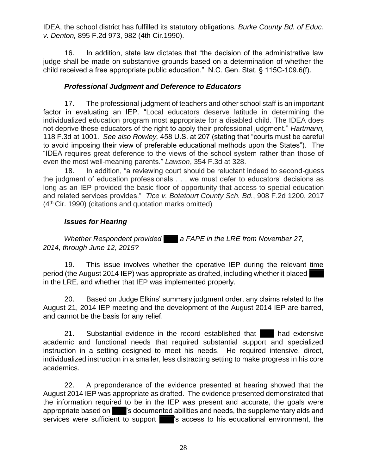IDEA, the school district has fulfilled its statutory obligations. *Burke County Bd. of Educ. v. Denton,* 895 F.2d 973, 982 (4th Cir.1990).

16. In addition, state law dictates that "the decision of the administrative law judge shall be made on substantive grounds based on a determination of whether the child received a free appropriate public education." N.C. Gen. Stat. § 115C-109.6(f).

## *Professional Judgment and Deference to Educators*

17. The professional judgment of teachers and other school staff is an important factor in evaluating an IEP. "Local educators deserve latitude in determining the individualized education program most appropriate for a disabled child. The IDEA does not deprive these educators of the right to apply their professional judgment." *Hartmann,*  118 F.3d at 1001. *See also Rowley,* 458 U.S. at 207 (stating that "courts must be careful to avoid imposing their view of preferable educational methods upon the States"). The "IDEA requires great deference to the views of the school system rather than those of even the most well-meaning parents." *Lawson*, 354 F.3d at 328.

18. In addition, "a reviewing court should be reluctant indeed to second-guess the judgment of education professionals . . . we must defer to educators' decisions as long as an IEP provided the basic floor of opportunity that access to special education and related services provides." *Tice v. Botetourt County Sch. Bd.*, 908 F.2d 1200, 2017  $(4<sup>th</sup> Cir. 1990)$  (citations and quotation marks omitted)

## *Issues for Hearing*

*Whether Respondent provided a FAPE in the LRE from November 27, 2014, through June 12, 2015?*

19. This issue involves whether the operative IEP during the relevant time period (the August 2014 IEP) was appropriate as drafted, including whether it placed in the LRE, and whether that IEP was implemented properly.

20. Based on Judge Elkins' summary judgment order, any claims related to the August 21, 2014 IEP meeting and the development of the August 2014 IEP are barred, and cannot be the basis for any relief.

21. Substantial evidence in the record established that had extensive academic and functional needs that required substantial support and specialized instruction in a setting designed to meet his needs. He required intensive, direct, individualized instruction in a smaller, less distracting setting to make progress in his core academics.

22. A preponderance of the evidence presented at hearing showed that the August 2014 IEP was appropriate as drafted. The evidence presented demonstrated that the information required to be in the IEP was present and accurate, the goals were appropriate based on  $\blacksquare$  's documented abilities and needs, the supplementary aids and services were sufficient to support  $\blacksquare$  's access to his educational environment, the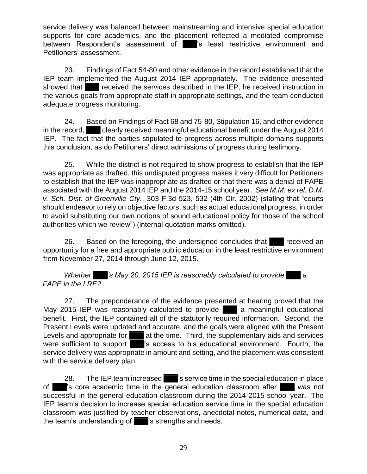service delivery was balanced between mainstreaming and intensive special education supports for core academics, and the placement reflected a mediated compromise between Respondent's assessment of **'s** least restrictive environment and Petitioners' assessment.

23. Findings of Fact 54-80 and other evidence in the record established that the IEP team implemented the August 2014 IEP appropriately. The evidence presented showed that **received the services described in the IEP**, he received instruction in the various goals from appropriate staff in appropriate settings, and the team conducted adequate progress monitoring.

24. Based on Findings of Fact 68 and 75-80, Stipulation 16, and other evidence in the record,  $\lvert$  clearly received meaningful educational benefit under the August 2014 IEP. The fact that the parties stipulated to progress across multiple domains supports this conclusion, as do Petitioners' direct admissions of progress during testimony.

25. While the district is not required to show progress to establish that the IEP was appropriate as drafted, this undisputed progress makes it very difficult for Petitioners to establish that the IEP was inappropriate as drafted or that there was a denial of FAPE associated with the August 2014 IEP and the 2014-15 school year. *See M.M. ex rel. D.M. v. Sch. Dist. of Greenville Cty.*, 303 F.3d 523, 532 (4th Cir. 2002) (stating that "courts should endeavor to rely on objective factors, such as actual educational progress, in order to avoid substituting our own notions of sound educational policy for those of the school authorities which we review") (internal quotation marks omitted).

26. Based on the foregoing, the undersigned concludes that received an opportunity for a free and appropriate public education in the least restrictive environment from November 27, 2014 through June 12, 2015.

*Whether 's May 20, 2015 IEP is reasonably calculated to provide* a *FAPE in the LRE?*

27. The preponderance of the evidence presented at hearing proved that the May 2015 IEP was reasonably calculated to provide a meaningful educational benefit. First, the IEP contained all of the statutorily required information. Second, the Present Levels were updated and accurate, and the goals were aligned with the Present Levels and appropriate for  $\blacksquare$  at the time. Third, the supplementary aids and services were sufficient to support  $\blacksquare$  's access to his educational environment. Fourth, the service delivery was appropriate in amount and setting, and the placement was consistent with the service delivery plan.

28. The IEP team increased state is service time in the special education in place of 's core academic time in the general education classroom after was not successful in the general education classroom during the 2014-2015 school year. The IEP team's decision to increase special education service time in the special education classroom was justified by teacher observations, anecdotal notes, numerical data, and the team's understanding of **'s** strengths and needs.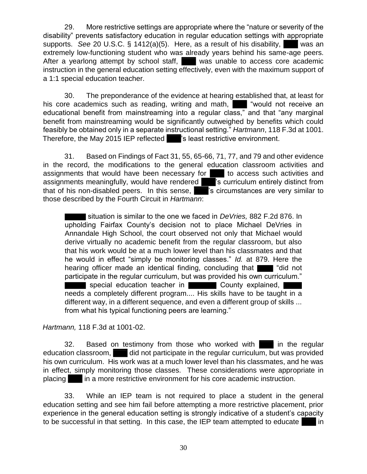29. More restrictive settings are appropriate where the "nature or severity of the disability" prevents satisfactory education in regular education settings with appropriate supports. *See* 20 U.S.C.  $\S$  1412(a)(5). Here, as a result of his disability, was an extremely low-functioning student who was already years behind his same-age peers. After a yearlong attempt by school staff, was unable to access core academic instruction in the general education setting effectively, even with the maximum support of a 1:1 special education teacher.

30. The preponderance of the evidence at hearing established that, at least for his core academics such as reading, writing and math, we would not receive an educational benefit from mainstreaming into a regular class," and that "any marginal benefit from mainstreaming would be significantly outweighed by benefits which could feasibly be obtained only in a separate instructional setting." *Hartmann*, 118 F.3d at 1001. Therefore, the May 2015 IEP reflected <sup>8</sup> is least restrictive environment.

31. Based on Findings of Fact 31, 55, 65-66, 71, 77, and 79 and other evidence in the record, the modifications to the general education classroom activities and assignments that would have been necessary for the access such activities and assignments meaningfully, would have rendered solic scurriculum entirely distinct from that of his non-disabled peers. In this sense,  $\blacksquare$  's circumstances are very similar to those described by the Fourth Circuit in *Hartmann*:

 situation is similar to the one we faced in *DeVries,* 882 F.2d 876. In upholding Fairfax County's decision not to place Michael DeVries in Annandale High School, the court observed not only that Michael would derive virtually no academic benefit from the regular classroom, but also that his work would be at a much lower level than his classmates and that he would in effect "simply be monitoring classes." *Id.* at 879. Here the hearing officer made an identical finding, concluding that  $\blacksquare$  "did not participate in the regular curriculum, but was provided his own curriculum." special education teacher in **Theorem County explained**, needs a completely different program.... His skills have to be taught in a different way, in a different sequence, and even a different group of skills ... from what his typical functioning peers are learning."

*Hartmann,* 118 F.3d at 1001-02.

32. Based on testimony from those who worked with in the regular education classroom, did not participate in the regular curriculum, but was provided his own curriculum. His work was at a much lower level than his classmates, and he was in effect, simply monitoring those classes. These considerations were appropriate in placing in a more restrictive environment for his core academic instruction.

33. While an IEP team is not required to place a student in the general education setting and see him fail before attempting a more restrictive placement, prior experience in the general education setting is strongly indicative of a student's capacity to be successful in that setting. In this case, the IEP team attempted to educate in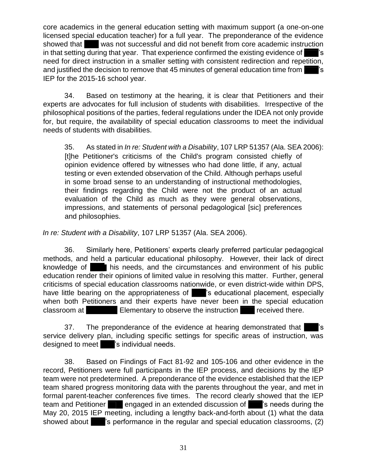core academics in the general education setting with maximum support (a one-on-one licensed special education teacher) for a full year. The preponderance of the evidence showed that was not successful and did not benefit from core academic instruction in that setting during that year. That experience confirmed the existing evidence of  $\sim$  's need for direct instruction in a smaller setting with consistent redirection and repetition, and justified the decision to remove that 45 minutes of general education time from  $\sim$  's IEP for the 2015-16 school year.

34. Based on testimony at the hearing, it is clear that Petitioners and their experts are advocates for full inclusion of students with disabilities. Irrespective of the philosophical positions of the parties, federal regulations under the IDEA not only provide for, but require, the availability of special education classrooms to meet the individual needs of students with disabilities.

35. As stated in *In re: Student with a Disability*, 107 LRP 51357 (Ala. SEA 2006): [t]he Petitioner's criticisms of the Child's program consisted chiefly of opinion evidence offered by witnesses who had done little, if any, actual testing or even extended observation of the Child. Although perhaps useful in some broad sense to an understanding of instructional methodologies, their findings regarding the Child were not the product of an actual evaluation of the Child as much as they were general observations, impressions, and statements of personal pedagological [sic] preferences and philosophies.

*In re: Student with a Disability*, 107 LRP 51357 (Ala. SEA 2006).

36. Similarly here, Petitioners' experts clearly preferred particular pedagogical methods, and held a particular educational philosophy. However, their lack of direct knowledge of **his needs**, and the circumstances and environment of his public education render their opinions of limited value in resolving this matter. Further, general criticisms of special education classrooms nationwide, or even district-wide within DPS, have little bearing on the appropriateness of state is educational placement, especially when both Petitioners and their experts have never been in the special education classroom at **Elementary to observe the instruction** received there.

37. The preponderance of the evidence at hearing demonstrated that <sup>'s</sup> service delivery plan, including specific settings for specific areas of instruction, was designed to meet **in the individual needs.** 

38. Based on Findings of Fact 81-92 and 105-106 and other evidence in the record, Petitioners were full participants in the IEP process, and decisions by the IEP team were not predetermined. A preponderance of the evidence established that the IEP team shared progress monitoring data with the parents throughout the year, and met in formal parent-teacher conferences five times. The record clearly showed that the IEP team and Petitioner **Progetial engaged in an extended discussion of Trans**'s needs during the May 20, 2015 IEP meeting, including a lengthy back-and-forth about (1) what the data showed about  $\blacksquare$  's performance in the regular and special education classrooms, (2)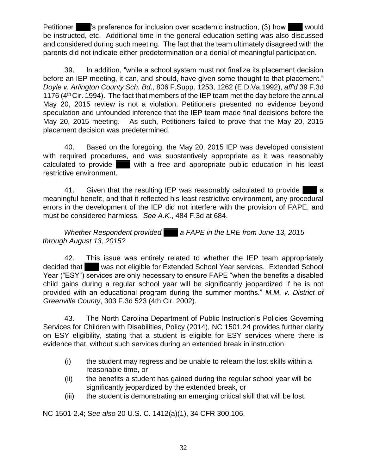Petitioner **Proget is preference for inclusion over academic instruction, (3) how would** be instructed, etc. Additional time in the general education setting was also discussed and considered during such meeting. The fact that the team ultimately disagreed with the parents did not indicate either predetermination or a denial of meaningful participation.

39. In addition, "while a school system must not finalize its placement decision before an IEP meeting, it can, and should, have given some thought to that placement." *Doyle v. Arlington County Sch. Bd*., 806 F.Supp. 1253, 1262 (E.D.Va.1992), *aff'd* 39 F.3d 1176 (4<sup>th</sup> Cir. 1994). The fact that members of the IEP team met the day before the annual May 20, 2015 review is not a violation. Petitioners presented no evidence beyond speculation and unfounded inference that the IEP team made final decisions before the May 20, 2015 meeting. As such, Petitioners failed to prove that the May 20, 2015 placement decision was predetermined.

40. Based on the foregoing, the May 20, 2015 IEP was developed consistent with required procedures, and was substantively appropriate as it was reasonably calculated to provide with a free and appropriate public education in his least restrictive environment.

41. Given that the resulting IEP was reasonably calculated to provide a meaningful benefit, and that it reflected his least restrictive environment, any procedural errors in the development of the IEP did not interfere with the provision of FAPE, and must be considered harmless. *See A.K.*, 484 F.3d at 684.

*Whether Respondent provided a FAPE in the LRE from June 13, 2015 through August 13, 2015?*

42. This issue was entirely related to whether the IEP team appropriately decided that was not eligible for Extended School Year services. Extended School Year ("ESY") services are only necessary to ensure FAPE "when the benefits a disabled child gains during a regular school year will be significantly jeopardized if he is not provided with an educational program during the summer months." *M.M. v. District of Greenville County*, 303 F.3d 523 (4th Cir. 2002).

43. The North Carolina Department of Public Instruction's Policies Governing Services for Children with Disabilities, Policy (2014), NC 1501.24 provides further clarity on ESY eligibility, stating that a student is eligible for ESY services where there is evidence that, without such services during an extended break in instruction:

- (i) the student may regress and be unable to relearn the lost skills within a reasonable time, or
- (ii) the benefits a student has gained during the regular school year will be significantly jeopardized by the extended break, or
- (iii) the student is demonstrating an emerging critical skill that will be lost.

NC 1501-2.4; S*ee also* 20 U.S. C. 1412(a)(1), 34 CFR 300.106.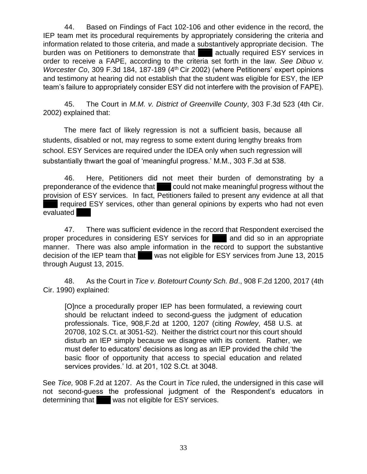44. Based on Findings of Fact 102-106 and other evidence in the record, the IEP team met its procedural requirements by appropriately considering the criteria and information related to those criteria, and made a substantively appropriate decision. The burden was on Petitioners to demonstrate that actually required ESY services in order to receive a FAPE, according to the criteria set forth in the law. *See Dibuo v. Worcester Co*, 309 F.3d 184, 187-189 (4<sup>th</sup> Cir 2002) (where Petitioners' expert opinions and testimony at hearing did not establish that the student was eligible for ESY, the IEP team's failure to appropriately consider ESY did not interfere with the provision of FAPE).

45. The Court in *M.M. v. District of Greenville County*, 303 F.3d 523 (4th Cir. 2002) explained that:

The mere fact of likely regression is not a sufficient basis, because all students, disabled or not, may regress to some extent during lengthy breaks from school. ESY Services are required under the IDEA only when such regression will substantially thwart the goal of 'meaningful progress.' M.M., 303 F.3d at 538.

46. Here, Petitioners did not meet their burden of demonstrating by a preponderance of the evidence that could not make meaningful progress without the provision of ESY services. In fact, Petitioners failed to present any evidence at all that required ESY services, other than general opinions by experts who had not even evaluated

47. There was sufficient evidence in the record that Respondent exercised the proper procedures in considering ESY services for and did so in an appropriate manner. There was also ample information in the record to support the substantive decision of the IEP team that was not eligible for ESY services from June 13, 2015 through August 13, 2015.

48. As the Court in *Tice v. Botetourt County Sch. Bd*., 908 F.2d 1200, 2017 (4th Cir. 1990) explained:

[O]nce a procedurally proper IEP has been formulated, a reviewing court should be reluctant indeed to second-guess the judgment of education professionals. Tice, 908,F.2d at 1200, 1207 (citing *Rowley*, 458 U.S. at 20708, 102 S.Ct. at 3051-52). Neither the district court nor this court should disturb an IEP simply because we disagree with its content. Rather, we must defer to educators' decisions as long as an IEP provided the child 'the basic floor of opportunity that access to special education and related services provides.' Id. at 201, 102 S.Ct. at 3048.

See *Tice,* 908 F.2d at 1207. As the Court in *Tice* ruled, the undersigned in this case will not second-guess the professional judgment of the Respondent's educators in determining that was not eligible for ESY services.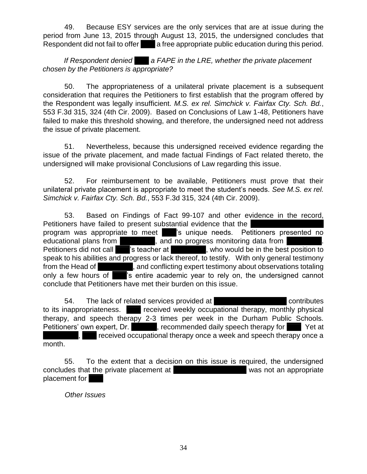49. Because ESY services are the only services that are at issue during the period from June 13, 2015 through August 13, 2015, the undersigned concludes that Respondent did not fail to offer a free appropriate public education during this period.

If Respondent denied **a** FAPE in the LRE, whether the private placement *chosen by the Petitioners is appropriate?*

50. The appropriateness of a unilateral private placement is a subsequent consideration that requires the Petitioners to first establish that the program offered by the Respondent was legally insufficient. *M.S. ex rel. Simchick v. Fairfax Cty. Sch. Bd.*, 553 F.3d 315, 324 (4th Cir. 2009). Based on Conclusions of Law 1-48, Petitioners have failed to make this threshold showing, and therefore, the undersigned need not address the issue of private placement.

51. Nevertheless, because this undersigned received evidence regarding the issue of the private placement, and made factual Findings of Fact related thereto, the undersigned will make provisional Conclusions of Law regarding this issue.

52. For reimbursement to be available, Petitioners must prove that their unilateral private placement is appropriate to meet the student's needs. *See M.S. ex rel. Simchick v. Fairfax Cty. Sch. Bd.*, 553 F.3d 315, 324 (4th Cir. 2009).

53. Based on Findings of Fact 99-107 and other evidence in the record, Petitioners have failed to present substantial evidence that the program was appropriate to meet <sup>'s</sup> unique needs. Petitioners presented no educational plans from **Piney Alexandria**, and no progress monitoring data from Petitioners did not call  $\blacksquare$  's teacher at  $\blacksquare$ , who would be in the best position to speak to his abilities and progress or lack thereof, to testify. With only general testimony from the Head of **Piney is and conflicting expert testimony about observations totaling** only a few hours of  $\overline{\hspace{1cm}}$  's entire academic year to rely on, the undersigned cannot conclude that Petitioners have met their burden on this issue.

54. The lack of related services provided at Pinewoods Montributes to its inappropriateness. **Figure 1** received weekly occupational therapy, monthly physical therapy, and speech therapy 2-3 times per week in the Durham Public Schools. Petitioners' own expert, Dr. The recommended daily speech therapy for Yet at received occupational therapy once a week and speech therapy once a month.

55. To the extent that a decision on this issue is required, the undersigned concludes that the private placement at **Pinewoods Montessori was not an appropriate** placement for

*Other Issues*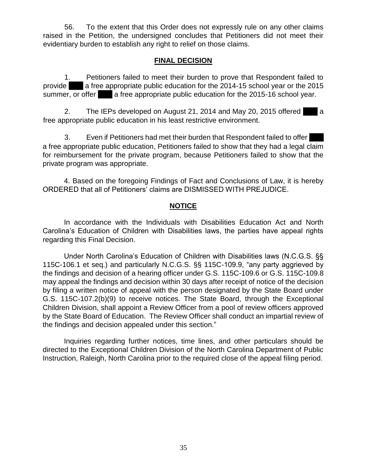56. To the extent that this Order does not expressly rule on any other claims raised in the Petition, the undersigned concludes that Petitioners did not meet their evidentiary burden to establish any right to relief on those claims.

## **FINAL DECISION**

1. Petitioners failed to meet their burden to prove that Respondent failed to provide a free appropriate public education for the 2014-15 school year or the 2015 summer, or offer a free appropriate public education for the 2015-16 school year.

2. The IEPs developed on August 21, 2014 and May 20, 2015 offered a free appropriate public education in his least restrictive environment.

3. Even if Petitioners had met their burden that Respondent failed to offer a free appropriate public education, Petitioners failed to show that they had a legal claim for reimbursement for the private program, because Petitioners failed to show that the private program was appropriate.

4. Based on the foregoing Findings of Fact and Conclusions of Law, it is hereby ORDERED that all of Petitioners' claims are DISMISSED WITH PREJUDICE.

## **NOTICE**

In accordance with the Individuals with Disabilities Education Act and North Carolina's Education of Children with Disabilities laws, the parties have appeal rights regarding this Final Decision.

Under North Carolina's Education of Children with Disabilities laws (N.C.G.S. §§ 115C-106.1 et seq.) and particularly N.C.G.S. §§ 115C-109.9, "any party aggrieved by the findings and decision of a hearing officer under G.S. 115C-109.6 or G.S. 115C-109.8 may appeal the findings and decision within 30 days after receipt of notice of the decision by filing a written notice of appeal with the person designated by the State Board under G.S. 115C-107.2(b)(9) to receive notices. The State Board, through the Exceptional Children Division, shall appoint a Review Officer from a pool of review officers approved by the State Board of Education. The Review Officer shall conduct an impartial review of the findings and decision appealed under this section."

Inquiries regarding further notices, time lines, and other particulars should be directed to the Exceptional Children Division of the North Carolina Department of Public Instruction, Raleigh, North Carolina prior to the required close of the appeal filing period.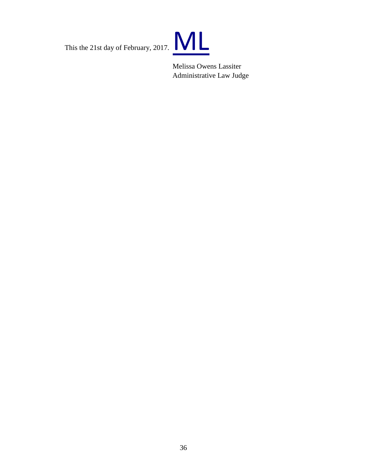

Melissa Owens Lassiter Administrative Law Judge